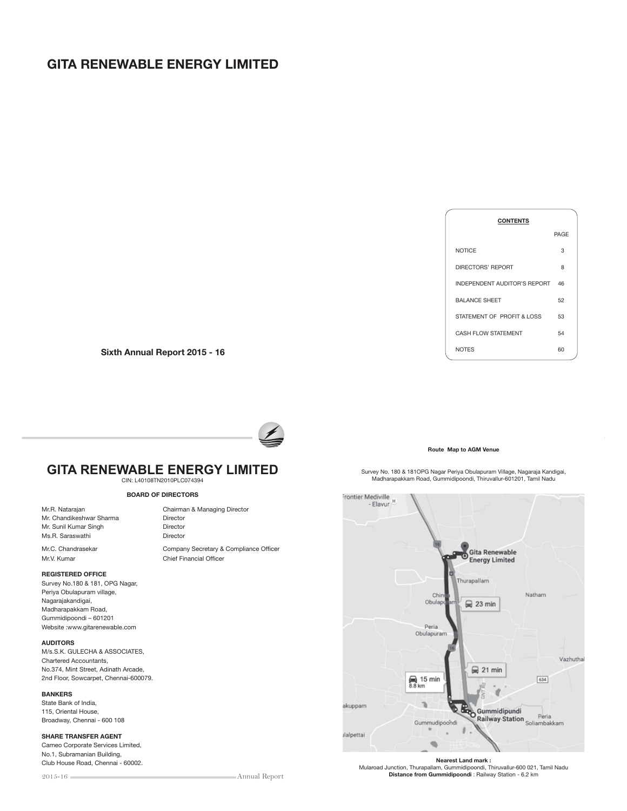# GITA RENEWABLE ENERGY LIMITED

| <b>CONTENTS</b>              |      |  |
|------------------------------|------|--|
|                              | PAGE |  |
| <b>NOTICE</b>                | 3    |  |
| DIRECTORS' REPORT            | 8    |  |
| INDEPENDENT AUDITOR'S REPORT | 46   |  |
| <b>BALANCE SHEET</b>         | 52   |  |
| STATEMENT OF PROFIT & LOSS   | 53   |  |
| CASH FLOW STATEMENT          | 54   |  |
| <b>NOTES</b>                 | ഩ    |  |

Sixth Annual Report 2015 - 16



# **GITA RENEWABLE ENERGY LIMITED**  CIN: L40108TN2010PLC074394

# BOARD OF DIRECTORS

Mr. Chandikeshwar Sharma Director Mr. Sunil Kumar Singh Director Ms.R. Saraswathi Director

# REGISTERED OFFICE

Survey No.180 & 181, OPG Nagar, Periya Obulapuram village, Nagarajakandigai, Madharapakkam Road, Gummidipoondi – 601201 Website :www.gitarenewable.com

# **AUDITORS**

M/s.S.K. GULECHA & ASSOCIATES, Chartered Accountants, No.374, Mint Street, Adinath Arcade, 2nd Floor, Sowcarpet, Chennai-600079.

BANKERS State Bank of India,

115, Oriental House, Broadway, Chennai - 600 108

# SHARE TRANSFER AGENT

Cameo Corporate Services Limited, No.1, Subramanian Building, Club House Road, Chennai - 60002.

Mr.R. Natarajan Chairman & Managing Director Mr.C. Chandrasekar Company Secretary & Compliance Officer<br>Mr.V. Kumar Chief Financial Officer Chief Financial Officer

- Elavur **S**<br>Gita Renewable **Energy Limited** Thurapallam Natham Chir Obulap □ 23 min Peria Obulapuram Vazhuthal  $\bigoplus$  21 min  $\bigoplus_{8.8 \text{ km}} 15 \text{ min}$  $634$ e akuppam T) **Co**<br>Gummidipundi<br>Railway Station Peria Railway Station Gummudipoondi Soliambakkam lalpettai

Nearest Land mark : Mularoad Junction, Thurapallam, Gummidipoondi, Thiruvallur-600 021, Tamil Nadu<br>Distance from Gummidipoondi : Railway Station - 6.2 km



Survey No. 180 & 181OPG Nagar Periya Obulapuram Village, Nagaraja Kandigai, Madharapakkam Road, Gummidipoondi, Thiruvallur-601201, Tamil Nadu

Frontier Mediville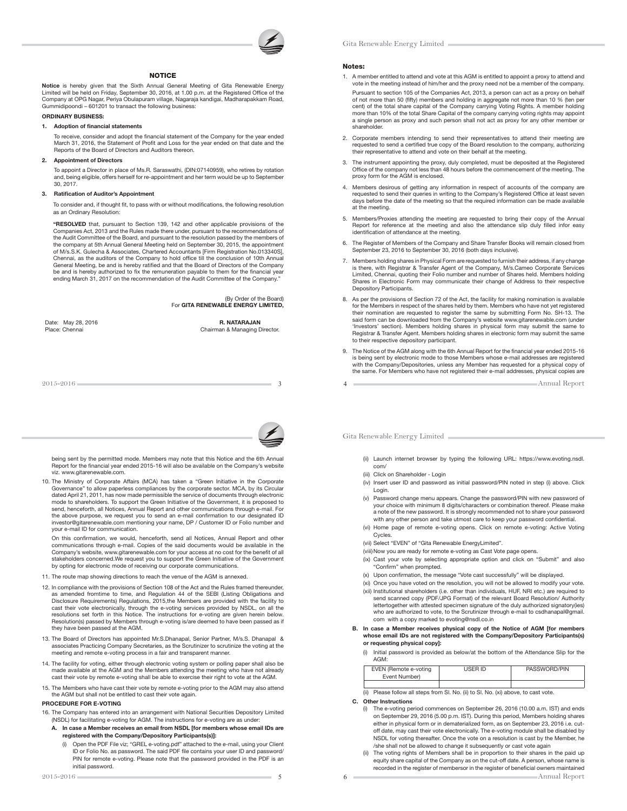

#### **NOTICE**

**Notice** is hereby given that the Sixth Annual General Meeting of Gita Renewable Energy<br>Limited will be held on Friday, September 30, 2016, at 1.00 p.m. at the Registered Office of the Company at OPG Nagar, Periya Obulapuram village, Nagaraja kandigai, Madharapakkam Road, Gummidipoondi – 601201 to transact the following business:

### ORDINARY BUSINESS:

#### 1. Adoption of financial statements

To receive, consider and adopt the financial statement of the Company for the year ended March 31, 2016, the Statement of Profit and Loss for the year ended on that date and the Reports of the Board of Directors and Auditors thereon.

#### 2. Appointment of Directors

 To appoint a Director in place of Ms.R. Saraswathi, (DIN:07140959), who retires by rotation and, being eligible, offers herself for re-appointment and her term would be up to September 30, 2017.

#### 3. Ratification of Auditor's Appointment

To consider and, if thought fit, to pass with or without modifications, the following resolution as an Ordinary Resolution:

"RESOLVED that, pursuant to Section 139, 142 and other applicable provisions of the Companies Act, 2013 and the Rules made there under, pursuant to the recommendations of the Audit Committee of the Board, and pursuant to the resolution passed by the members of the company at 5th Annual General Meeting held on September 30, 2015, the appointment of M/s.S.K. Gulecha & Associates, Chartered Accountants [Firm Registration No.013340S], Chennai, as the auditors of the Company to hold office till the conclusion of 10th Annual General Meeting, be and is hereby ratified and that the Board of Directors of the Company be and is hereby authorized to fix the remuneration payable to them for the financial year<br>ending March 31, 2017 on the recommendation of the Audit Committee of the Company."

> (By Order of the Board) For **GITA RENEWABLE ENERGY LIMITED,**

Date: May 28, 2016 **R. NATARAJAN**<br>Place: Chennai Report of Chairman & Managing D Chairman & Managing Director.

 $2015 - 2016$ 



being sent by the permitted mode. Members may note that this Notice and the 6th Annual Report for the financial year ended 2015-16 will also be available on the Company's website viz. www.gitarenewable.com.

10. The Ministry of Corporate Affairs (MCA) has taken a "Green Initiative in the Corporate Governance" to allow paperless compliances by the corporate sector. MCA, by its Circular dated April 21, 2011, has now made permissible the service of documents through electronic mode to shareholders. To support the Green Initiative of the Government, it is proposed to send, henceforth, all Notices, Annual Report and other communications through e-mail. For the above purpose, we request you to send an e-mail confirmation to our designated ID<br>investor@gitarenewable.com mentioning your name, DP / Customer ID or Folio number and your e-mail ID for communication.

On this confirmation, we would, henceforth, send all Notices, Annual Report and other communications through e-mail. Copies of the said documents would be available in the Company's website, www.gitarenewable.com for your access at no cost for the benefit of all stakeholders concerned.We request you to support the Green Initiative of the Government by opting for electronic mode of receiving our corporate communications.

- 11. The route map showing directions to reach the venue of the AGM is annexed.
- 12. In compliance with the provisions of Section 108 of the Act and the Rules framed thereunder, as amended fromtime to time, and Regulation 44 of the SEBI (Listing Obligations and Disclosure Requirements) Regulations, 2015,the Members are provided with the facility to cast their vote electronically, through the e-voting services provided by NSDL, on all the resolutions set forth in this Notice. The instructions for e-voting are given herein below. Resolution(s) passed by Members through e-voting is/are deemed to have been passed as if they have been passed at the AGM.
- 13. The Board of Directors has appointed Mr.S.Dhanapal, Senior Partner, M/s.S. Dhanapal & associates Practicing Company Secretaries, as the Scrutinizer to scrutinize the voting at the meeting and remote e-voting process in a fair and transparent manner.
- 14. The facility for voting, either through electronic voting system or polling paper shall also be made available at the AGM and the Members attending the meeting who have not already cast their vote by remote e-voting shall be able to exercise their right to vote at the AGM.
- 15. The Members who have cast their vote by remote e-voting prior to the AGM may also attend the AGM but shall not be entitled to cast their vote again.

# PROCEDURE FOR E-VOTING

- 16. The Company has entered into an arrangement with National Securities Depository Limited (NSDL) for facilitating e-voting for AGM. The instructions for e-voting are as under:
	- A. In case a Member receives an email from NSDL [for members whose email IDs are registered with the Company/Depository Participants(s)]:
		- (i) Open the PDF File viz; "GREL e-voting.pdf" attached to the e-mail, using your Client ID or Folio No. as password. The said PDF "le contains your user ID and password/ PIN for remote e-voting. Please note that the password provided in the PDF is an initial password.

Gita Renewable Energy Limited

#### Notes:

- 1. A member entitled to attend and vote at this AGM is entitled to appoint a proxy to attend and vote in the meeting instead of him/her and the proxy need not be a member of the company. Pursuant to section 105 of the Companies Act, 2013, a person can act as a proxy on behalf of not more than 50 (fifty) members and holding in aggregate not more than 10 % (ten per<br>cent) of the total share capital of the Company carrying Voting Rights. A member holding
- more than 10% of the total Share Capital of the company carrying voting rights may appoint a single person as proxy and such person shall not act as proxy for any other member or shareholder.
- 2. Corporate members intending to send their representatives to attend their meeting are requested to send a certified true copy of the Board resolution to the company, authorizing<br>their representative to attend and vote on their behalf at the meeting.
- 3. The instrument appointing the proxy, duly completed, must be deposited at the Registered Office of the company not less than 48 hours before the commencement of the meeting. The<br>proxy form for the AGM is enclosed.
- 4. Members desirous of getting any information in respect of accounts of the company are requested to send their queries in writing to the Company's Registered Office at least seven<br>days before the date of the meeting so that the required information can be made available at the meeting.
- 5. Members/Proxies attending the meeting are requested to bring their copy of the Annual Report for reference at the meeting and also the attendance slip duly filled infor easy identification of attendance at the meeting.
- 6. The Register of Members of the Company and Share Transfer Books will remain closed from September 23, 2016 to September 30, 2016 (both days inclusive).
- 7. Members holding shares in Physical Form are requested to furnish their address, if any change is there, with Registrar & Transfer Agent of the Company, M/s.Cameo Corporate Services Limited, Chennai, quoting their Folio number and number of Shares held. Members holding Shares in Electronic Form may communicate their change of Address to their respective Depository Participants.
- 8. As per the provisions of Section 72 of the Act, the facility for making nomination is available for the Members in respect of the shares held by them. Members who have not yet registered their nomination are requested to register the same by submitting Form No. SH-13. The said form can be downloaded from the Company's website www.gitarenewable.com (under 'Investors' section). Members holding shares in physical form may submit the same to Registrar & Transfer Agent. Members holding shares in electronic form may submit the same to their respective depository participant.
- 9. The Notice of the AGM along with the 6th Annual Report for the financial year ended 2015-16 is being sent by electronic mode to those Members whose e-mail addresses are registered with the Company/Depositories, unless any Member has requested for a physical copy of the same. For Members who have not registered their e-mail addresses, physical copies are

4 Annual Report

Gita Renewable Energy Limited

- (ii) Launch internet browser by typing the following URL: https://www.evoting.nsdl. com/
- (iii) Click on Shareholder Login
- (iv) Insert user ID and password as initial password/PIN noted in step (i) above. Click Login.
- (v) Password change menu appears. Change the password/PIN with new password of your choice with minimum 8 digits/characters or combination thereof. Please make a note of the new password. It is strongly recommended not to share your password with any other person and take utmost care to keep your password confidential.
- (vi) Home page of remote e-voting opens. Click on remote e-voting: Active Voting **Cycles**
- (vii) Select "EVEN" of "Gita Renewable EnergyLimited".
- (viii) Now you are ready for remote e-voting as Cast Vote page opens.
- (ix) Cast your vote by selecting appropriate option and click on "Submit" and also "Confirm" when prompted.
- (x) Upon confirmation, the message "Vote cast successfully" will be displayed.
- (xi) Once you have voted on the resolution, you will not be allowed to modify your vote. (xii) Institutional shareholders (i.e. other than individuals, HUF, NRI etc.) are required to send scanned copy (PDF/JPG Format) of the relevant Board Resolution/ Authority lettertogether with attested specimen signature of the duly authorized signatory(ies) who are authorized to vote, to the Scrutinizer through e-mail to csdhanapal@gmail. com with a copy marked to evoting@nsdl.co.in
	- B. In case a Member receives physical copy of the Notice of AGM [for members whose email IDs are not registered with the Company/Depository Participants(s) or requesting physical copy]:

| (i) Initial password is provided as below/at the bottom of the Attendance Slip for the |  |
|----------------------------------------------------------------------------------------|--|
| AGM:                                                                                   |  |

| EVEN (Remote e-voting | <b>JSER ID</b> | PASSWORD/PIN |
|-----------------------|----------------|--------------|
| Event Number)         |                |              |
|                       |                |              |

(ii) Please follow all steps from Sl. No. (ii) to Sl. No. (xi) above, to cast vote.

# C. Other Instructions

- (i) The e-voting period commences on September 26, 2016 (10.00 a.m. IST) and ends on September 29, 2016 (5.00 p.m. IST). During this period, Members holding shares either in physical form or in dematerialized form, as on September 23, 2016 i.e. cutoff date, may cast their vote electronically. The e-voting module shall be disabled by NSDL for voting thereafter. Once the vote on a resolution is cast by the Member, he /she shall not be allowed to change it subsequently or cast vote again
- 6 Annual Report The voting rights of Members shall be in proportion to their shares in the paid up equity share capital of the Company as on the cut-off date. A person, whose name is recorded in the register of membersor in the register of beneficial owners maintained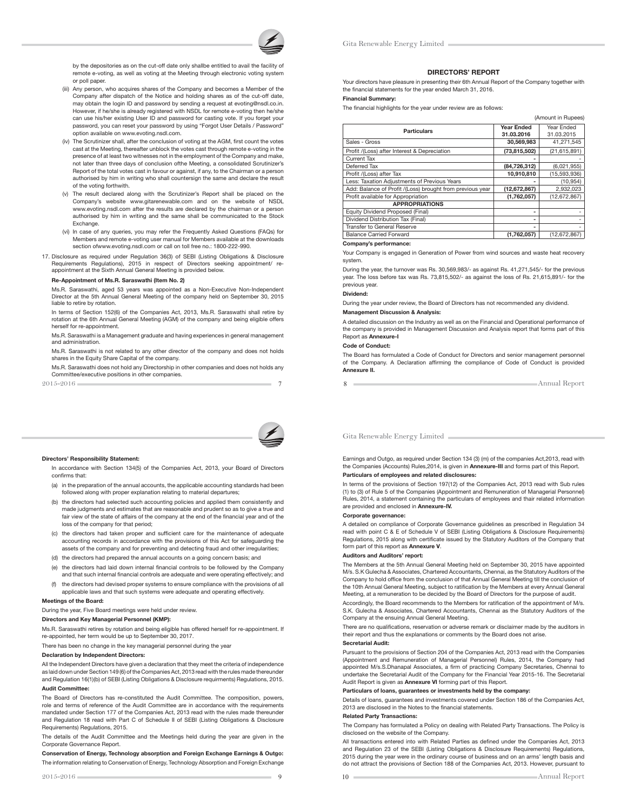by the depositories as on the cut-off date only shallbe entitled to avail the facility of remote e-voting, as well as voting at the Meeting through electronic voting system or poll paper.

- (iii) Any person, who acquires shares of the Company and becomes a Member of the Company after dispatch of the Notice and holding shares as of the cut-off date, may obtain the login ID and password by sending a request at evoting@nsdl.co.in. However, if he/she is already registered with NSDL for remote e-voting then he/she can use his/her existing User ID and password for casting vote. If you forget your password, you can reset your password by using "Forgot User Details / Password" option available on www.evoting.nsdl.com.
- (iv) The Scrutinizer shall, after the conclusion of voting at the AGM, first count the votes cast at the Meeting, thereafter unblock the votes cast through remote e-voting in the presence of at least two witnesses not in the employment of the Company and make, not later than three days of conclusion ofthe Meeting, a consolidated Scrutinizer's Report of the total votes cast in favour or against, if any, to the Chairman or a person authorised by him in writing who shall countersign the same and declare the result of the voting forthwith.
- (v) The result declared along with the Scrutinizer's Report shall be placed on the Company's website www.gitarenewable.com and on the website of NSDL www.evoting.nsdl.com after the results are declared by the chairman or a person authorised by him in writing and the same shall be communicated to the Stock Exchange.
- (vi) In case of any queries, you may refer the Frequently Asked Questions (FAQs) for Members and remote e-voting user manual for Members available at the downloads section ofwww.evoting.nsdl.com or call on toll free no.: 1800-222-990.
- 17. Disclosure as required under Regulation 36(3) of SEBI (Listing Obligations & Disclosure Requirements Regulations), 2015 in respect of Directors seeking appointment/ re-appointment at the Sixth Annual General Meeting is provided below.

#### Re-Appointment of Ms.R. Saraswathi (Item No. 2)

 Ms.R. Saraswathi, aged 53 years was appointed as a Non-Executive Non-Independent Director at the 5th Annual General Meeting of the company held on September 30, 2015 liable to retire by rotation.

 In terms of Section 152(6) of the Companies Act, 2013, Ms.R. Saraswathi shall retire by rotation at the 6th Annual General Meeting (AGM) of the company and being eligible offers herself for re-appointment.

 Ms.R. Saraswathi is a Management graduate and having experiences in general management and administration.

 Ms.R. Saraswathi is not related to any other director of the company and does not holds shares in the Equity Share Capital of the company.

 Ms.R. Saraswathi does not hold any Directorship in other companies and does not holds any Committee/executive positions in other companies.

 $2015-2016$   $7$ 



#### Directors' Responsibility Statement:

 In accordance with Section 134(5) of the Companies Act, 2013, your Board of Directors confirms that:

- (a) in the preparation of the annual accounts, the applicable accounting standards had been followed along with proper explanation relating to material departures;
- (b) the directors had selected such accounting policies and applied them consistently and made judgments and estimates that are reasonable and prudent so as to give a true and fair view of the state of affairs of the company at the end of the financial year and of the loss of the company for that period;
- (c) the directors had taken proper and sufficient care for the maintenance of adequate accounting records in accordance with the provisions of this Act for safeguarding the assets of the company and for preventing and detecting fraud and other irregularities;
- (d) the directors had prepared the annual accounts on a going concern basis; and
- (e) the directors had laid down internal financial controls to be followed by the Company and that such internal financial controls are adequate and were operating effectively; and
- (f) the directors had devised proper systems to ensure compliance with the provisions of all applicable laws and that such systems were adequate and operating effectively.

# Meetings of the Board:

During the year, Five Board meetings were held under review.

# Directors and Key Managerial Personnel (KMP):

Ms.R. Saraswathi retires by rotation and being eligible has offered herself for re-appointment. If re-appointed, her term would be up to September 30, 2017.

There has been no change in the key managerial personnel during the year

#### Declaration by Independent Directors:

All the Independent Directors have given a declaration that they meet the criteria of independence as laid down under Section 149 (6) of the Companies Act, 2013 read with the rules made thereunder and Regulation 16(1)(b) of SEBI (Listing Obligations & Disclosure requirments) Regulations, 2015. Audit Committee:

# The Board of Directors has re-constituted the Audit Committee. The composition, powers, role and terms of reference of the Audit Committee are in accordance with the requirements mandated under Section 177 of the Companies Act, 2013 read with the rules made thereunder and Regulation 18 read with Part C of Schedule II of SEBI (Listing Obligations & Disclosure Requirements) Regulations, 2015.

The details of the Audit Committee and the Meetings held during the year are given in the Corporate Governance Report.

Conservation of Energy, Technology absorption and Foreign Exchange Earnings & Outgo: The information relating to Conservation of Energy, Technology Absorption and Foreign Exchange

#### DIRECTORS' REPORT

Your directors have pleasure in presenting their 6th Annual Report of the Company together with the financial statements for the year ended March 31, 2016.

Financial Summary:

The financial highlights for the year under review are as follows:

| <b>Particulars</b>                                        | <b>Year Ended</b><br>31.03.2016 | Year Ended<br>31.03.2015 |
|-----------------------------------------------------------|---------------------------------|--------------------------|
| Sales - Gross                                             | 30,569,983                      | 41.271.545               |
| Profit /(Loss) after Interest & Depreciation              | (73, 815, 502)                  | (21, 615, 891)           |
| Current Tax                                               |                                 |                          |
| Deferred Tax                                              | (84, 726, 312)                  | (6,021,955)              |
| Profit /(Loss) after Tax                                  | 10,910,810                      | (15,593,936)             |
| Less: Taxation Adjustments of Previous Years              |                                 | (10, 954)                |
| Add: Balance of Profit /(Loss) brought from previous year | (12,672,867)                    | 2.932.023                |
| Profit available for Appropriation                        | (1,762,057)                     | (12, 672, 867)           |
| <b>APPROPRIATIONS</b>                                     |                                 |                          |
| Equity Dividend Proposed (Final)                          |                                 |                          |
| Dividend Distribution Tax (Final)                         | ۰                               |                          |
| Transfer to General Reserve                               |                                 |                          |
| <b>Balance Carried Forward</b>                            | (1,762,057)                     | (12, 672, 867)           |

### Company's performance:

Your Company is engaged in Generation of Power from wind sources and waste heat recovery system.

During the year, the turnover was Rs. 30,569,983/- as against Rs. 41,271,545/- for the previous year. The loss before tax was Rs. 73,815,502/- as against the loss of Rs. 21,615,891/- for the previous year.

#### Dividend:

During the year under review, the Board of Directors has not recommended any dividend.

#### Management Discussion & Analysis:

A detailed discussion on the Industry as well as on the Financial and Operational performance of the company is provided in Management Discussion and Analysis report that forms part of this Report as Annexure-I

#### Code of Conduct:

The Board has formulated a Code of Conduct for Directors and senior management personnel of the Company. A Declaration affirming the compliance of Code of Conduct is provided Annexure II.



8 Annual Report

(Amount in Rupees)

Gita Renewable Energy Limited

Earnings and Outgo, as required under Section 134 (3) (m) of the companies Act,2013, read with the Companies (Accounts) Rules,2014, is given in Annexure-III and forms part of this Report. Particulars of employees and related disclosures:

In terms of the provisions of Section 197(12) of the Companies Act, 2013 read with Sub rules (1) to (3) of Rule 5 of the Companies (Appointment and Remuneration of Managerial Personnel) Rules, 2014, a statement containing the particulars of employees and thair related information are provided and enclosed in Annexure-IV.

# Corporate governance:

A detailed on compliance of Corporate Governance guidelines as prescribed in Regulation 34 read with point C & E of Schedule V of SEBI (Listing Obligations & Disclosure Requirements) Regulations, 2015 along with certificate issued by the Statutory Auditors of the Company that form part of this report as Annexure V.

#### Auditors and Auditors' report:

The Members at the 5th Annual General Meeting held on September 30, 2015 have appointed M/s. S.K Gulecha & Associates, Chartered Accountants, Chennai, as the Statutory Auditors of the<br>Company to hold office from the conclusion of that Annual General Meeting till the conclusion of the 10th Annual General Meeting, subject to ratification by the Members at every Annual General Meeting, at a remuneration to be decided by the Board of Directors for the purpose of audit.

Accordingly, the Board recommends to the Members for ratification of the appointment of M/s. S.K. Gulecha & Associates, Chartered Accountants, Chennai as the Statutory Auditors of the Company at the ensuing Annual General Meeting.

There are no qualifications, reservation or adverse remark or disclaimer made by the auditors in their report and thus the explanations or comments by the Board does not arise.

#### Secretarial Audit:

Pursuant to the provisions of Section 204 of the Companies Act, 2013 read with the Companies (Appointment and Remuneration of Managerial Personnel) Rules, 2014, the Company had appointed M/s.S.Dhanapal Associates, a firm of practicing Company Secretaries, Chennai to undertake the Secretarial Audit of the Company for the Financial Year 2015-16. The Secretarial Audit Report is given as Annexure VI forming part of this Report.

#### Particulars of loans, guarantees or investments held by the company:

Details of loans, guarantees and investments covered under Section 186 of the Companies Act, 2013 are disclosed in the Notes to the financial statements.

#### Related Party Transactions:

The Company has formulated a Policy on dealing with Related Party Transactions. The Policy is disclosed on the website of the Company.

All transactions entered into with Related Parties as defined under the Companies Act, 2013 and Regulation 23 of the SEBI (Listing Obligations & Disclosure Requirements) Regulations, 2015 during the year were in the ordinary course of business and on an arms' length basis and do not attract the provisions of Section 188 of the Companies Act, 2013. However, pursuant to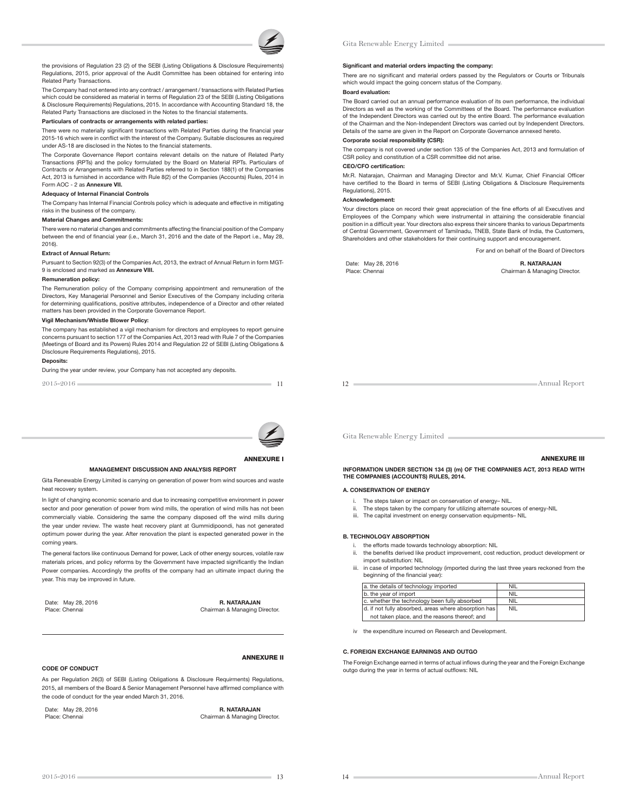

the provisions of Regulation 23 (2) of the SEBI (Listing Obligations & Disclosure Requirements) Regulations, 2015, prior approval of the Audit Committee has been obtained for entering into Related Party Transactions.

The Company had not entered into any contract / arrangement / transactions with Related Parties which could be considered as material in terms of Regulation 23 of the SEBI (Listing Obligations & Disclosure Requirements) Regulations, 2015. In accordance with Accounting Standard 18, the Related Party Transactions are disclosed in the Notes to the financial statements.

#### Particulars of contracts or arrangements with related parties:

There were no materially significant transactions with Related Parties during the financial year 2015-16 which were in conflict with the interest of the Company. Suitable disclosures as required under AS-18 are disclosed in the Notes to the financial statements.

The Corporate Governance Report contains relevant details on the nature of Related Party Transactions (RPTs) and the policy formulated by the Board on Material RPTs. Particulars of Contracts or Arrangements with Related Parties referred to in Section 188(1) of the Companies Act, 2013 is furnished in accordance with Rule 8(2) of the Companies (Accounts) Rules, 2014 in Form AOC - 2 as Annexure VII.

#### Adequacy of Internal Financial Controls

The Company has Internal Financial Controls policy which is adequate and effective in mitigating risks in the business of the company.

#### Material Changes and Commitments:

There were no material changes and commitments affecting the financial position of the Company between the end of financial year (i.e., March 31, 2016 and the date of the Report i.e., May 28, 2016).

#### Extract of Annual Return:

Pursuant to Section 92(3) of the Companies Act, 2013, the extract of Annual Return in form MGT-9 is enclosed and marked as Annexure VIII.

#### Remuneration policy:

The Remuneration policy of the Company comprising appointment and remuneration of the Directors, Key Managerial Personnel and Senior Executives of the Company including criteria for determining qualifications, positive attributes, independence of a Director and other related matters has been provided in the Corporate Governance Report.

#### Vigil Mechanism/Whistle Blower Policy:

The company has established a vigil mechanism for directors and employees to report genuine concerns pursuant to section 177 of the Companies Act, 2013 read with Rule 7 of the Companies (Meetings of Board and its Powers) Rules 2014 and Regulation 22 of SEBI (Listing Obligations & Disclosure Requirements Regulations), 2015.

#### Deposits:

During the year under review, your Company has not accepted any deposits.

2015-2016 11



# ANNEXURE I

#### MANAGEMENT DISCUSSION AND ANALYSIS REPORT

Gita Renewable Energy Limited is carrying on generation of power from wind sources and waste heat recovery system.

In light of changing economic scenario and due to increasing competitive environment in power sector and poor generation of power from wind mills, the operation of wind mills has not been commercially viable. Considering the same the company disposed off the wind mills during the year under review. The waste heat recovery plant at Gummidipoondi, has not generated optimum power during the year. After renovation the plant is expected generated power in the coming years.

The general factors like continuous Demand for power, Lack of other energy sources, volatile raw materials prices, and policy reforms by the Government have impacted significantly the Indian Power companies. Accordingly the profits of the company had an ultimate impact during the year. This may be improved in future.

Date: May 28, 2016 **R. NATARAJAN** 

Place: Chennai Chairman & Managing Director.

#### CODE OF CONDUCT

As per Regulation 26(3) of SEBI (Listing Obligations & Disclosure Requirments) Regulations, 2015, all members of the Board & Senior Management Personnel have affirmed compliance with the code of conduct for the year ended March 31, 2016.

Date: May 28, 2016 **R. NATARAJAN**<br>Place: Chennai Records and Records and Records Chairman & Managing D Chairman & Managing Director.

ANNEXURE II

Gita Renewable Energy Limited

#### Significant and material orders impacting the company:

There are no significant and material orders passed by the Regulators or Courts or Tribunals which would impact the going concern status of the Company.

#### Board evaluation:

The Board carried out an annual performance evaluation of its own performance, the individual Directors as well as the working of the Committees of the Board. The performance evaluation of the Independent Directors was carried out by the entire Board. The performance evaluation of the Chairman and the Non-Independent Directors was carried out by Independent Directors. Details of the same are given in the Report on Corporate Governance annexed hereto. Corporate social responsibility (CSR):

The company is not covered under section 135 of the Companies Act, 2013 and formulation of CSR policy and constitution of a CSR committee did not arise.

# CEO/CFO certification:

Mr.R. Natarajan, Chairman and Managing Director and Mr.V. Kumar, Chief Financial Officer have certified to the Board in terms of SEBI (Listing Obligations & Disclosure Requirements Regulations), 2015.

#### Acknowledgement:

Your directors place on record their great appreciation of the fine efforts of all Executives and Employees of the Company which were instrumental in attaining the considerable financial position in a difficult year. Your directors also express their sincere thanks to various Departments of Central Government, Government of Tamilnadu, TNEB, State Bank of India, the Customers, Shareholders and other stakeholders for their continuing support and encouragement.

For and on behalf of the Board of Directors

Place: Chennai **Chairman & Managing Director.** 

Date: May 28, 2016 R. Natal Participate of the R. NATARAJAN

12 Annual Report

Gita Renewable Energy Limited

#### ANNEXURE III

INFORMATION UNDER SECTION 134 (3) (m) OF THE COMPANIES ACT, 2013 READ WITH THE COMPANIES (ACCOUNTS) RULES, 2014.

# A. CONSERVATION OF ENERGY

- i. The steps taken or impact on conservation of energy– NIL.
- The steps taken by the company for utilizing alternate sources of energy-NIL
- iii. The capital investment on energy conservation equipments– NIL

### B. TECHNOLOGY ABSORPTION

- i. the efforts made towards technology absorption: NIL
- ii. the benefits derived like product improvement, cost reduction, product development or import substitution: NIL
- iii. in case of imported technology (imported during the last three years reckoned from the beginning of the financial year):

| a. the details of technology imported                | <b>NIL</b> |
|------------------------------------------------------|------------|
| b. the year of import                                | NIL.       |
| c. whether the technology been fully absorbed        | <b>NIL</b> |
| d. if not fully absorbed, areas where absorption has | <b>NIL</b> |
| not taken place, and the reasons thereof; and        |            |

iv the expenditure incurred on Research and Development.

# C. FOREIGN EXCHANGE EARNINGS AND OUTGO

The Foreign Exchange earned in terms of actual inflows during the year and the Foreign Exchange outgo during the year in terms of actual outflows: NIL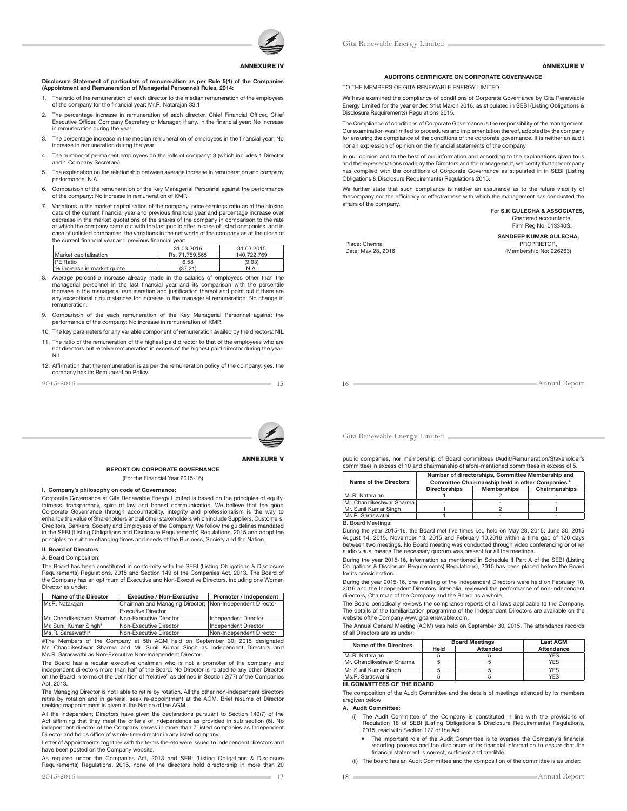ANNEXURE IV

#### ANNEXURE V

#### AUDITORS CERTIFICATE ON CORPORATE GOVERNANCE

TO THE MEMBERS OF GITA RENEWABLE ENERGY LIMITED

We have examined the compliance of conditions of Corporate Governance by Gita Renewable Energy Limited for the year ended 31st March 2016, as stipulated in SEBI (Listing Obligations & Disclosure Requirements) Regulations 2015.

The Compliance of conditions of Corporate Governance is the responsibility of the management. Our examination was limited to procedures and implementation thereof, adopted by the company for ensuring the compliance of the conditions of the corporate governance. It is neither an audit nor an expression of opinion on the financial statements of the company.

In our opinion and to the best of our information and according to the explanations given tous and the representations made by the Directors and the management, we certify that thecompany has complied with the conditions of Corporate Governance as stipulated in in SEBI (Listing Obligations & Disclosure Requirements) Regulations 2015.

We further state that such compliance is neither an assurance as to the future viability of thecompany nor the efficiency or effectiveness with which the management has conducted the affairs of the company.

For S.K GULECHA & ASSOCIATES, Chartered accountants, Firm Reg No. 013340S.

SANDEEP KUMAR GULECHA, Place: Chennai **Propriet Chennai Chennai Chennai Chennai Chennai Chennai Chennai Chennai Chennai Chennai Chenna**<br>Date: May 28, 2016 **Mark Chennai Chennai Chennai Chennai Chennai Chennai Chennai Chennai Chennai Chennai Chen** (Membership No: 226263)

16 **Annual Report** 

#### ANNEXURE V

# REPORT ON CORPORATE GOVERNANCE

 $2015-2016$  15

12. Affirmation that the remuneration is as per the remuneration policy of the company: yes. the

Disclosure Statement of particulars of remuneration as per Rule 5(1) of the Companies

1. The ratio of the remuneration of each director to the median remuneration of the employees

2. The percentage increase in remuneration of each director, Chief Financial Officer, Chief Executive Officer, Company Secretary or Manager, if any, in the financial year: No increase

3. The percentage increase in the median remuneration of employees in the financial year: No

4. The number of permanent employees on the rolls of company: 3 (which includes 1 Director

5. The explanation on the relationship between average increase in remuneration and company

6. Comparison of the remuneration of the Key Managerial Personnel against the performance

7. Variations in the market capitalisation of the company, price earnings ratio as at the closing date of the current financial year and previous financial year and percentage increase over decrease in the market quotations of the shares of the company in comparison to the rate at which the company came out with the last public offer in case of listed companies, and in case of unlisted companies, the variations in the net worth of the company as at the close of

Market capitalisation Rs. 71,759,565 140,722,769 PE Ratio 6.58 (9.03)<br>
% increase in market quote (37.21) N.A.

8. Average percentile increase already made in the salaries of employees other than the managerial personnel in the last financial year and its comparison with the percentile increase in the managerial remuneration and justification thereof and point out if there are any exceptional circumstances for increase in the managerial remuneration: No change in

9. Comparison of the each remuneration of the Key Managerial Personnel against the performance of the company: No increase in remuneration of KMP. 10. The key parameters for any variable component of remuneration availed by the directors: NIL 11. The ratio of the remuneration of the highest paid director to that of the employees who are not directors but receive remuneration in excess of the highest paid director during the year:

31.03.2016 31.03.201<br>Rs. 71.759.565 140.722.76

(Appointment and Remuneration of Managerial Personnel) Rules, 2014:

of the company for the financial year: Mr.R. Natarajan 33:1

of the company: No increase in remuneration of KMP.

the current financial year and previous financial year:

in remuneration during the year.

and 1 Company Secretary)

% increase in market quote

company has its Remuneration Policy.

remuneration.

NIL

performance: N.A

increase in remuneration during the year.

(For the Financial Year 2015-16)

#### I. Company's philosophy on code of Governance:

Corporate Governance at Gita Renewable Energy Limited is based on the principles of equity, fairness, transparency, spirit of law and honest communication. We believe that the good Corporate Governance through accountability, integrity and professionalism is the way to enhance the value of Shareholders and all other stakeholders which include Suppliers, Customers, Creditors, Bankers, Society and Employees of the Company. We follow the guidelines mandated in the SEBI (Listing Obligations and Disclosure Requirements) Regulations, 2015 and adopt the principles to suit the changing times and needs of the Business, Society and the Nation.

# II. Board of Directors

A. Board Composition:

The Board has been constituted in conformity with the SEBI (Listing Obligations & Disclosure Requirements) Regulations, 2015 and Section 149 of the Companies Act, 2013. The Board of the Company has an optimum of Executive and Non-Executive Directors, including one Women Director as under:

| Name of the Director<br>Mr.R. Nataraian |                                                    | <b>Executive / Non-Executive</b>                         | Promoter / Independent   |
|-----------------------------------------|----------------------------------------------------|----------------------------------------------------------|--------------------------|
|                                         |                                                    | Chairman and Managing Director; Non-Independent Director |                          |
|                                         |                                                    | <b>Executive Director</b>                                |                          |
|                                         | Mr. Chandikeshwar Sharma"   Non-Executive Director |                                                          | Independent Director     |
|                                         | Mr. Sunil Kumar Singh"                             | Non-Executive Director                                   | Independent Director     |
|                                         | Ms.R. Saraswathi"                                  | Non-Executive Director                                   | Non-Independent Director |
|                                         |                                                    |                                                          |                          |

#The Members of the Company at 5th AGM held on September 30, 2015 designated Mr. Chandikeshwar Sharma and Mr. Sunil Kumar Singh as Independent Directors and Ms.R. Saraswathi as Non-Executive Non-Independent Director.

The Board has a regular executive chairman who is not a promoter of the company and independent directors more than half of the Board. No Director is related to any other Director on the Board in terms of the definition of "relative" as defined in Section 2(77) of the Companies Act, 2013.

The Managing Director is not liable to retire by rotation. All the other non-independent directors retire by rotation and in general, seek re-appointment at the AGM. Brief resume of Director seeking reappointment is given in the Notice of the AGM.

All the Independent Directors have given the declarations pursuant to Section 149(7) of the Act affirming that they meet the criteria of independence as provided in sub section (6). No<br>independent director of the Company serves in more than 7 listed companies as Independent Director and holds office of whole-time director in any listed company

Letter of Appointments together with the terms thereto were issued to Independent directors and have been posted on the Company website.

As required under the Companies Act, 2013 and SEBI (Listing Obligations & Disclosure Requirements) Regulations, 2015, none of the directors hold directorship in more than 20 Gita Renewable Energy Limited

public companies, nor membership of Board committees (Audit/Remuneration/Stakeholder's committee) in excess of 10 and chairmanship of afore-mentioned committees in excess of 5.

| Name of the Directors    | Number of directorships, Committee Membership and<br>Committee Chairmanship held in other Companies " |                    |               |  |
|--------------------------|-------------------------------------------------------------------------------------------------------|--------------------|---------------|--|
|                          | <b>Directorships</b>                                                                                  | <b>Memberships</b> | Chairmanships |  |
| Mr.R. Nataraian          |                                                                                                       |                    |               |  |
| Mr. Chandikeshwar Sharma |                                                                                                       |                    | -             |  |
| Mr. Sunil Kumar Singh    |                                                                                                       |                    |               |  |
| Ms.R. Saraswathi         |                                                                                                       |                    |               |  |

B. Board Meetings:

During the year 2015-16, the Board met five times i.e., held on May 28, 2015; June 30, 2015 August 14, 2015, November 13, 2015 and February 10,2016 within a time gap of 120 days between two meetings. No Board meeting was conducted through video conferencing or other audio visual means.The necessary quorum was present for all the meetings.

During the year 2015-16, information as mentioned in Schedule II Part A of the SEBI (Listing Obligations & Disclosure Requirements) Regulations), 2015 has been placed before the Board for its consideration.

During the year 2015-16, one meeting of the Independent Directors were held on February 10, 2016 and the Independent Directors, inter-alia, reviewed the performance of non-independent directors, Chairman of the Company and the Board as a whole.

The Board periodically reviews the compliance reports of all laws applicable to the Company. The details of the familiarization programme of the Independent Directors are available on the website ofthe Company www.gitarenewable.com.

The Annual General Meeting (AGM) was held on September 30, 2015. The attendance records of all Directors are as under:

| Name of the Directors    | <b>Board Meetings</b> |                 | <b>Last AGM</b> |  |
|--------------------------|-----------------------|-----------------|-----------------|--|
|                          | Held                  | <b>Attended</b> | Attendance      |  |
| Mr.R. Nataraian          |                       |                 | <b>YES</b>      |  |
| Mr. Chandikeshwar Sharma |                       |                 | <b>YES</b>      |  |
| Mr. Sunil Kumar Singh    |                       |                 | <b>YES</b>      |  |
| Ms.R. Saraswathi         |                       |                 | YES             |  |

### III. COMMITTEES OF THE BOARD

The composition of the Audit Committee and the details of meetings attended by its members aregiven below

A. Audit Committee:

- (i) The Audit Committee of the Company is constituted in line with the provisions of Regulation 18 of SEBI (Listing Obligations & Disclosure Requirements) Regulations, 2015, read with Section 177 of the Act.
	- The important role of the Audit Committee is to oversee the Company's financial reporting process and the disclosure of its financial information to ensure that the<br>financial statement is correct, sufficient and credible.
- (ii) The board has an Audit Committee and the composition of the committee is as under: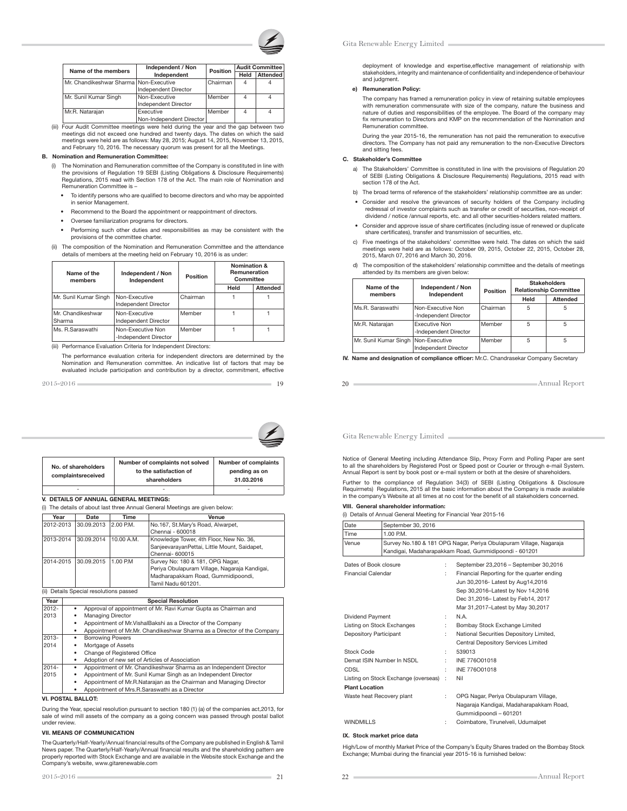

| Name of the members                    | Independent / Non        | <b>Position</b> | <b>Audit Committee</b> |                 |  |
|----------------------------------------|--------------------------|-----------------|------------------------|-----------------|--|
|                                        | Independent              |                 | Held                   | <b>Attended</b> |  |
| Mr. Chandikeshwar Sharma Non-Executive |                          | Chairman        | 4                      |                 |  |
|                                        | Independent Director     |                 |                        |                 |  |
| Mr. Sunil Kumar Singh                  | Non-Executive            | Member          | 4                      |                 |  |
|                                        | Independent Director     |                 |                        |                 |  |
| Mr.R. Natarajan                        | Executive                | Member          | 4                      |                 |  |
|                                        | Non-Independent Director |                 |                        |                 |  |
| $\cdots$<br>.                          | .                        | .               | . .                    |                 |  |

 (iii) Four Audit Committee meetings were held during the year and the gap between two meetings did not exceed one hundred and twenty days. The dates on which the said meetings were held are as follows: May 28, 2015; August 14, 2015, November 13, 2015, and February 10, 2016. The necessary quorum was present for all the Meetings.

# B. Nomination and Remuneration Committee:

- (i) The Nomination and Remuneration committee of the Company is constituted in line with the provisions of Regulation 19 SEBI (Listing Obligations & Disclosure Requirements) Regulations, 2015 read with Section 178 of the Act. The main role of Nomination and Remuneration Committee is –
	- To identify persons who are qualified to become directors and who may be appointed in senior Management.
	- Recommend to the Board the appointment or reappointment of directors.
	- Oversee familiarization programs for directors.
	- Performing such other duties and responsibilities as may be consistent with the provisions of the committee charter.
- (ii) The composition of the Nomination and Remuneration Committee and the attendance details of members at the meeting held on February 10, 2016 is as under:

| Name of the<br>members      | Independent / Non<br>Independent           | Position | <b>Nomination &amp;</b><br>Remuneration<br>Committee |                 |
|-----------------------------|--------------------------------------------|----------|------------------------------------------------------|-----------------|
|                             |                                            |          | Held                                                 | <b>Attended</b> |
| Mr. Sunil Kumar Singh       | Non-Executive<br>Independent Director      | Chairman |                                                      |                 |
| Mr. Chandikeshwar<br>Sharma | Non-Executive<br>Independent Director      | Member   |                                                      |                 |
| Ms. R.Saraswathi            | Non-Executive Non<br>-Independent Director | Member   |                                                      |                 |

(iii) Performance Evaluation Criteria for Independent Directors:

 The performance evaluation criteria for independent directors are determined by the Nomination and Remuneration committee. An indicative list of factors that may be evaluated include participation and contribution by a director, commitment, effective

2015-2016 19

|  | No. of shareholders<br>complaintsreceived                                    | Number of complaints not solved<br>to the satisfaction of<br>shareholders | Number of complaints<br>pending as on<br>31.03.2016 |  |  |
|--|------------------------------------------------------------------------------|---------------------------------------------------------------------------|-----------------------------------------------------|--|--|
|  | ۰                                                                            | ۰                                                                         | ۰                                                   |  |  |
|  | V. DETAILS OF ANNUAL GENERAL MEETINGS:                                       |                                                                           |                                                     |  |  |
|  | (i) The details of about last three Annual General Meetings are given below: |                                                                           |                                                     |  |  |

Year Date Time Venue 2012-2013 30.09.2013 2.00 P.M. No.167, St.Mary's Road, Alwarpet, Chennai - 600018 2013-2014 30.09.2014 10.00 A.M. Knowledge Tower, 4th Floor, New No. 36, SanjeevarayanPettai, Little Mount, Saidapet, Chennai- 600015 2014-2015 30.09.2015 1.00 P.M Survey No: 180 & 181, OPG Nagar, Periya Obulapuram Village, Nagaraja Kandigai, Madharapakkam Road, Gummidipoondi, Tamil Nadu 601201.

(ii) Details Special resolutions passed

| Year     |                                                                      | <b>Special Resolution</b>                                               |  |  |  |  |  |
|----------|----------------------------------------------------------------------|-------------------------------------------------------------------------|--|--|--|--|--|
| $2012 -$ | ٠                                                                    | Approval of appointment of Mr. Ravi Kumar Gupta as Chairman and         |  |  |  |  |  |
| 2013     | ٠                                                                    | <b>Managing Director</b>                                                |  |  |  |  |  |
|          | ٠                                                                    | Appointment of Mr. VishalBakshi as a Director of the Company            |  |  |  |  |  |
|          | ٠                                                                    | Appointment of Mr.Mr. Chandikeshwar Sharma as a Director of the Company |  |  |  |  |  |
| 2013-    | ٠                                                                    | <b>Borrowing Powers</b>                                                 |  |  |  |  |  |
| 2014     | ٠                                                                    | Mortgage of Assets                                                      |  |  |  |  |  |
|          | ٠                                                                    | Change of Registered Office                                             |  |  |  |  |  |
|          | ٠                                                                    | Adoption of new set of Articles of Association                          |  |  |  |  |  |
| 2014-    | ٠                                                                    | Appointment of Mr. Chandikeshwar Sharma as an Independent Director      |  |  |  |  |  |
| 2015     | Appointment of Mr. Sunil Kumar Singh as an Independent Director<br>٠ |                                                                         |  |  |  |  |  |
|          | ٠                                                                    | Appointment of Mr.R.Natarajan as the Chairman and Managing Director     |  |  |  |  |  |
|          | ٠                                                                    | Appointment of Mrs.R.Saraswathi as a Director                           |  |  |  |  |  |

#### VI. POSTAL BALLOT:

During the Year, special resolution pursuant to section 180 (1) (a) of the companies act,2013, for sale of wind mill assets of the company as a going concern was passed through postal ballot under review.

#### VII. MEANS OF COMMUNICATION

The Quarterly/Half-Yearly/Annual financial results of the Company are published in English & Tamil News paper. The Quarterly/Half-Yearly/Annual financial results and the shareholding pattern are properly reported with Stock Exchange and are available in the Website stock Exchange and the Company's website, www.gitarenewable.com

### Gita Renewable Energy Limited

deployment of knowledge and expertise,effective management of relationship with<br>stakeholders, integrity and maintenance of confidentiality and independence of behaviour and judgment.

#### e) Remuneration Policy:

 The company has framed a remuneration policy in view of retaining suitable employees with remuneration commensurate with size of the company, nature the business and nature of duties and responsibilities of the employee. The Board of the company may The remuneration to Directors and KMP on the recommendation of the Nomination and Remuneration committee.

 During the year 2015-16, the remuneration has not paid the remuneration to executive directors. The Company has not paid any remuneration to the non-Executive Directors and sitting fees.

#### C. Stakeholder's Committee

- a) The Stakeholders' Committee is constituted in line with the provisions of Regulation 20 of SEBI (Listing Obligations & Disclosure Requirements) Regulations, 2015 read with section 178 of the Act.
- b) The broad terms of reference of the stakeholders' relationship committee are as under:
- Consider and resolve the grievances of security holders of the Company including redressal of investor complaints such as transfer or credit of securities, non-receipt of dividend / notice /annual reports, etc. and all other securities-holders related matters.
- Consider and approve issue of share certificates (including issue of renewed or duplicate share certificates), transfer and transmission of securities, etc.
- c) Five meetings of the stakeholders' committee were held. The dates on which the said meetings were held are as follows: October 09, 2015, October 22, 2015, October 28, 2015, March 07, 2016 and March 30, 2016.
- d) The composition of the stakeholders' relationship committee and the details of meetings attended by its members are given below:

| Name of the<br>members                | Independent / Non<br>Independent              | Position | <b>Stakeholders</b><br><b>Relationship Committee</b> |                 |  |
|---------------------------------------|-----------------------------------------------|----------|------------------------------------------------------|-----------------|--|
|                                       |                                               |          | Held                                                 | <b>Attended</b> |  |
| Ms.R. Saraswathi                      | Non-Executive Non<br>-Independent Director    | Chairman | 5                                                    | 5               |  |
| Mr.R. Nataraian                       | <b>Executive Non</b><br>-Independent Director | Member   | 5                                                    | 5               |  |
| Mr. Sunil Kumar Singh   Non-Executive | <b>Independent Director</b>                   | Member   | 5                                                    | 5               |  |

IV. Name and designation of compliance officer: Mr.C. Chandrasekar Company Secretary

20 Annual Report

### Gita Renewable Energy Limited

Notice of General Meeting including Attendance Slip, Proxy Form and Polling Paper are sent to all the shareholders by Registered Post or Speed post or Courier or through e-mail System. Annual Report is sent by book post or e-mail system or both at the desire of shareholders.

Further to the compliance of Regulation 34(3) of SEBI (Listing Obligations & Disclosure Requirmets) Regulations, 2015 all the basic information about the Company is made available in the company's Website at all times at no cost for the benefit of all stakeholders concerned.

#### VIII. General shareholder information:

| Details of Annual General Meeting for Financial Year 2015-16<br>(i) |                                        |   |                                                                    |  |  |
|---------------------------------------------------------------------|----------------------------------------|---|--------------------------------------------------------------------|--|--|
| Date                                                                | September 30, 2016                     |   |                                                                    |  |  |
| Time                                                                | 1.00 P.M.                              |   |                                                                    |  |  |
| Venue                                                               |                                        |   | Survey No.180 & 181 OPG Nagar, Periya Obulapuram Village, Nagaraja |  |  |
|                                                                     |                                        |   | Kandigai, Madaharapakkam Road, Gummidipoondi - 601201              |  |  |
| Dates of Book closure                                               |                                        | t | September 23,2016 - September 30,2016                              |  |  |
| <b>Financial Calendar</b>                                           |                                        |   | Financial Reporting for the quarter ending                         |  |  |
|                                                                     |                                        |   | Jun 30,2016- Latest by Aug14,2016                                  |  |  |
|                                                                     |                                        |   | Sep 30,2016-Latest by Nov 14,2016                                  |  |  |
|                                                                     |                                        |   | Dec 31,2016- Latest by Feb14, 2017                                 |  |  |
|                                                                     |                                        |   | Mar 31.2017-Latest by May 30.2017                                  |  |  |
| Dividend Payment                                                    |                                        |   | N.A.                                                               |  |  |
| Listing on Stock Exchanges                                          |                                        |   | Bombay Stock Exchange Limited                                      |  |  |
| Depository Participant                                              |                                        |   | National Securities Depository Limited,                            |  |  |
|                                                                     |                                        |   | Central Depository Services Limited                                |  |  |
| Stock Code                                                          |                                        |   | 539013                                                             |  |  |
| Demat ISIN Number In NSDL                                           |                                        |   | INE 776001018                                                      |  |  |
| <b>CDSL</b>                                                         |                                        |   | INE 776001018                                                      |  |  |
|                                                                     | Listing on Stock Exchange (overseas) : |   | Nil                                                                |  |  |
| <b>Plant Location</b>                                               |                                        |   |                                                                    |  |  |
| Waste heat Recovery plant                                           |                                        |   | OPG Nagar, Periya Obulapuram Village,                              |  |  |
|                                                                     |                                        |   | Nagaraja Kandigai, Madaharapakkam Road,                            |  |  |
|                                                                     |                                        |   | Gummidipoondi - 601201                                             |  |  |
| <b>WINDMILLS</b>                                                    |                                        |   | Coimbatore, Tirunelveli, Udumalpet                                 |  |  |
|                                                                     |                                        |   |                                                                    |  |  |

IX. Stock market price data

High/Low of monthly Market Price of the Company's Equity Shares traded on the Bombay Stock Exchange; Mumbai during the financial year 2015-16 is furnished below: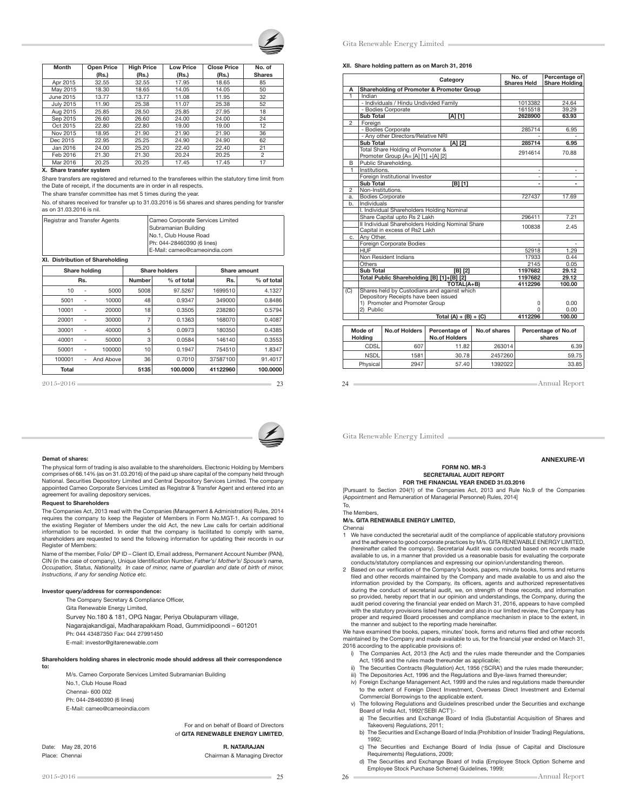

| Month     | <b>Open Price</b> | <b>High Price</b> | <b>Low Price</b> | <b>Close Price</b> | No. of         |
|-----------|-------------------|-------------------|------------------|--------------------|----------------|
|           | (Rs.)             | (Rs.)             | (Rs.)            | (Rs.)              | <b>Shares</b>  |
| Apr 2015  | 32.55             | 32.55             | 17.95            | 18.65              | 85             |
| May 2015  | 18.30             | 18.65             | 14.05            | 14.05              | 50             |
| June 2015 | 13.77             | 13.77             | 11.08            | 11.95              | 32             |
| July 2015 | 11.90             | 25.38             | 11.07            | 25.38              | 52             |
| Aug 2015  | 25.85             | 28.50             | 25.85            | 27.95              | 18             |
| Sep 2015  | 26.60             | 26.60             | 24.00            | 24.00              | 24             |
| Oct 2015  | 22.80             | 22.80             | 19.00            | 19.00              | 12             |
| Nov 2015  | 18.95             | 21.90             | 21.90            | 21.90              | 36             |
| Dec 2015  | 22.95             | 25.25             | 24.90            | 24.90              | 62             |
| Jan 2016  | 24.00             | 25.20             | 22.40            | 22.40              | 21             |
| Feb 2016  | 21.30             | 21.30             | 20.24            | 20.25              | $\mathfrak{p}$ |
| Mar 2016  | 20.25             | 20.25             | 17.45            | 17.45              | 17             |

# X. Share transfer system

Share transfers are registered and returned to the transferees within the statutory time limit from the Date of receipt, if the documents are in order in all respects.

The share transfer committee has met 5 times during the year.

No. of shares received for transfer up to 31.03.2016 is 56 shares and shares pending for transfer as on 31.03.2016 is nil.

| Registrar and Transfer Agents | Cameo Corporate Services Limited<br>Subramanian Building<br>No.1, Club House Road |
|-------------------------------|-----------------------------------------------------------------------------------|
|                               | Ph: 044-28460390 (6 lines)                                                        |
|                               | E-Mail: cameo@cameoindia.com                                                      |
|                               |                                                                                   |

# XI. Distribution of Shareholding

| Share holding |     |           |               | <b>Share holders</b> |          | Share amount |
|---------------|-----|-----------|---------------|----------------------|----------|--------------|
|               | Rs. |           | <b>Number</b> | % of total           | Rs.      | % of total   |
| 10            |     | 5000      | 5008          | 97.5267              | 1699510  | 4.1327       |
| 5001          |     | 10000     | 48            | 0.9347               | 349000   | 0.8486       |
| 10001         | ٠   | 20000     | 18            | 0.3505               | 238280   | 0.5794       |
| 20001         |     | 30000     | 7             | 0.1363               | 168070   | 0.4087       |
| 30001         | ٠   | 40000     | 5             | 0.0973               | 180350   | 0.4385       |
| 40001         |     | 50000     | 3             | 0.0584               | 146140   | 0.3553       |
| 50001         | ٠   | 100000    | 10            | 0.1947               | 754510   | 1.8347       |
| 100001        | ٠   | And Above | 36            | 0.7010               | 37587100 | 91.4017      |
| Total         |     |           | 5135          | 100.0000             | 41122960 | 100.0000     |

2015-2016 23



#### Demat of shares:

The physical form of trading is also available to the shareholders. Electronic Holding by Members comprises of 66.14% (as on 31.03.2016) of the paid up share capital of the company held through National. Securities Depository Limited and Central Depository Services Limited. The company appointed Cameo Corporate Services Limited as Registrar & Transfer Agent and entered into an agreement for availing depository services.

#### Request to Shareholders

The Companies Act, 2013 read with the Companies (Management & Administration) Rules, 2014 requires the company to keep the Register of Members in Form No.MGT-1. As compared to the existing Register of Members under the old Act, the new Law calls for certain additional information to be recorded. In order that the company is facilitated to comply with same,<br>shareholders are requested to send the following information for updating their records in our Register of Members:

Name of the member, Folio/ DP ID – Client ID, Email address, Permanent Account Number (PAN), CIN (in the case of company), Unique Identification Number, Father's/ Mother's/ Spouse's name,<br>Occupation, Status, Nationality, In case of minor, name of guardian and date of birth of minor, Instructions, if any for sending Notice etc.

#### Investor query/address for correspondence:

The Company Secretary & Compliance Officer, Gita Renewable Energy Limited, Survey No.180 & 181, OPG Nagar, Periya Obulapuram village, Nagarajakandigai, Madharapakkam Road, Gummidipoondi – 601201 Ph: 044 43487350 Fax: 044 27991450 E-mail: investor@gitarenewable.com

### Shareholders holding shares in electronic mode should address all their correspondence

M/s. Cameo Corporate Services Limited Subramanian Building No.1, Club House Road Chennai- 600 002 Ph: 044-28460390 (6 lines) E-Mail: cameo@cameoindia.com

> For and on behalf of Board of Directors of GITA RENEWABLE ENERGY LIMITED,

Date: May 28, 2016 **R. NATARAJAN** Place: Chennai Chairman & Managing Director

to:

Gita Renewable Energy Limited

#### XII. Share holding pattern as on March 31, 2016

| Shareholding of Promoter & Promoter Group<br>A<br>1<br>Indian<br>- Individuals / Hindu Undivided Family<br>1013382<br>24.64<br>1615518<br>39.29<br>- Bodies Corporate<br><b>Sub Total</b><br>[A] [1]<br>2628900<br>63.93<br>$\overline{a}$<br>Foreign<br>- Bodies Corporate<br>285714<br>6.95<br>- Any other Directors/Relative NRI<br><b>Sub Total</b><br>[A] [2]<br>285714<br>6.95<br>Total Share Holding of Promoter &<br>2914614<br>70.88<br>Promoter Group {A= [A] [1] +[A] [2]<br>Public Shareholding.<br>B<br>Institutions.<br>1.<br>Foreign Institutional Investor<br>Sub Total<br>[B] [1]<br>Non-Institutions.<br>$\overline{a}$<br>727437<br>17.69<br><b>Bodies Corporate</b><br>a.<br>Individuals<br>b.<br>I. Individual Shareholders Holding Nominal<br>7.21<br>Share Capital upto Rs 2 Lakh<br>296411<br>II Individual Shareholders Holding Nominal Share<br>2.45<br>100838<br>Capital in excess of Rs2 Lakh<br>Anv Other.<br>C.<br>Foreign Corporate Bodies<br><b>HUF</b><br>52918<br>1.29<br>Non Resident Indians<br>17933<br>0.44<br>2145<br>0.05<br>Others<br>Sub Total<br>1197682<br>29.12<br>[B] [2]<br>Total Public Shareholding [B] [1]+[B] [2]<br>1197682<br>29.12<br>TOTAL(A+B)<br>4112296<br>100.00<br>Shares held by Custodians and against which<br>(C)<br>Depository Receipts have been issued<br>1) Promoter and Promoter Group<br>0.00<br>0<br>2) Public<br>0.00<br>n<br>Total $(A) + (B) + (C)$<br>4112296<br>100.00 | Category | No. of<br><b>Shares Held</b> | Percentage of<br><b>Share Holding</b> |
|----------------------------------------------------------------------------------------------------------------------------------------------------------------------------------------------------------------------------------------------------------------------------------------------------------------------------------------------------------------------------------------------------------------------------------------------------------------------------------------------------------------------------------------------------------------------------------------------------------------------------------------------------------------------------------------------------------------------------------------------------------------------------------------------------------------------------------------------------------------------------------------------------------------------------------------------------------------------------------------------------------------------------------------------------------------------------------------------------------------------------------------------------------------------------------------------------------------------------------------------------------------------------------------------------------------------------------------------------------------------------------------------------------------------------------------------------|----------|------------------------------|---------------------------------------|
|                                                                                                                                                                                                                                                                                                                                                                                                                                                                                                                                                                                                                                                                                                                                                                                                                                                                                                                                                                                                                                                                                                                                                                                                                                                                                                                                                                                                                                                    |          |                              |                                       |
|                                                                                                                                                                                                                                                                                                                                                                                                                                                                                                                                                                                                                                                                                                                                                                                                                                                                                                                                                                                                                                                                                                                                                                                                                                                                                                                                                                                                                                                    |          |                              |                                       |
|                                                                                                                                                                                                                                                                                                                                                                                                                                                                                                                                                                                                                                                                                                                                                                                                                                                                                                                                                                                                                                                                                                                                                                                                                                                                                                                                                                                                                                                    |          |                              |                                       |
|                                                                                                                                                                                                                                                                                                                                                                                                                                                                                                                                                                                                                                                                                                                                                                                                                                                                                                                                                                                                                                                                                                                                                                                                                                                                                                                                                                                                                                                    |          |                              |                                       |
|                                                                                                                                                                                                                                                                                                                                                                                                                                                                                                                                                                                                                                                                                                                                                                                                                                                                                                                                                                                                                                                                                                                                                                                                                                                                                                                                                                                                                                                    |          |                              |                                       |
|                                                                                                                                                                                                                                                                                                                                                                                                                                                                                                                                                                                                                                                                                                                                                                                                                                                                                                                                                                                                                                                                                                                                                                                                                                                                                                                                                                                                                                                    |          |                              |                                       |
|                                                                                                                                                                                                                                                                                                                                                                                                                                                                                                                                                                                                                                                                                                                                                                                                                                                                                                                                                                                                                                                                                                                                                                                                                                                                                                                                                                                                                                                    |          |                              |                                       |
|                                                                                                                                                                                                                                                                                                                                                                                                                                                                                                                                                                                                                                                                                                                                                                                                                                                                                                                                                                                                                                                                                                                                                                                                                                                                                                                                                                                                                                                    |          |                              |                                       |
|                                                                                                                                                                                                                                                                                                                                                                                                                                                                                                                                                                                                                                                                                                                                                                                                                                                                                                                                                                                                                                                                                                                                                                                                                                                                                                                                                                                                                                                    |          |                              |                                       |
|                                                                                                                                                                                                                                                                                                                                                                                                                                                                                                                                                                                                                                                                                                                                                                                                                                                                                                                                                                                                                                                                                                                                                                                                                                                                                                                                                                                                                                                    |          |                              |                                       |
|                                                                                                                                                                                                                                                                                                                                                                                                                                                                                                                                                                                                                                                                                                                                                                                                                                                                                                                                                                                                                                                                                                                                                                                                                                                                                                                                                                                                                                                    |          |                              |                                       |
|                                                                                                                                                                                                                                                                                                                                                                                                                                                                                                                                                                                                                                                                                                                                                                                                                                                                                                                                                                                                                                                                                                                                                                                                                                                                                                                                                                                                                                                    |          |                              |                                       |
|                                                                                                                                                                                                                                                                                                                                                                                                                                                                                                                                                                                                                                                                                                                                                                                                                                                                                                                                                                                                                                                                                                                                                                                                                                                                                                                                                                                                                                                    |          |                              |                                       |
|                                                                                                                                                                                                                                                                                                                                                                                                                                                                                                                                                                                                                                                                                                                                                                                                                                                                                                                                                                                                                                                                                                                                                                                                                                                                                                                                                                                                                                                    |          |                              |                                       |
|                                                                                                                                                                                                                                                                                                                                                                                                                                                                                                                                                                                                                                                                                                                                                                                                                                                                                                                                                                                                                                                                                                                                                                                                                                                                                                                                                                                                                                                    |          |                              |                                       |
|                                                                                                                                                                                                                                                                                                                                                                                                                                                                                                                                                                                                                                                                                                                                                                                                                                                                                                                                                                                                                                                                                                                                                                                                                                                                                                                                                                                                                                                    |          |                              |                                       |
|                                                                                                                                                                                                                                                                                                                                                                                                                                                                                                                                                                                                                                                                                                                                                                                                                                                                                                                                                                                                                                                                                                                                                                                                                                                                                                                                                                                                                                                    |          |                              |                                       |
|                                                                                                                                                                                                                                                                                                                                                                                                                                                                                                                                                                                                                                                                                                                                                                                                                                                                                                                                                                                                                                                                                                                                                                                                                                                                                                                                                                                                                                                    |          |                              |                                       |
|                                                                                                                                                                                                                                                                                                                                                                                                                                                                                                                                                                                                                                                                                                                                                                                                                                                                                                                                                                                                                                                                                                                                                                                                                                                                                                                                                                                                                                                    |          |                              |                                       |
|                                                                                                                                                                                                                                                                                                                                                                                                                                                                                                                                                                                                                                                                                                                                                                                                                                                                                                                                                                                                                                                                                                                                                                                                                                                                                                                                                                                                                                                    |          |                              |                                       |
|                                                                                                                                                                                                                                                                                                                                                                                                                                                                                                                                                                                                                                                                                                                                                                                                                                                                                                                                                                                                                                                                                                                                                                                                                                                                                                                                                                                                                                                    |          |                              |                                       |
|                                                                                                                                                                                                                                                                                                                                                                                                                                                                                                                                                                                                                                                                                                                                                                                                                                                                                                                                                                                                                                                                                                                                                                                                                                                                                                                                                                                                                                                    |          |                              |                                       |
|                                                                                                                                                                                                                                                                                                                                                                                                                                                                                                                                                                                                                                                                                                                                                                                                                                                                                                                                                                                                                                                                                                                                                                                                                                                                                                                                                                                                                                                    |          |                              |                                       |
|                                                                                                                                                                                                                                                                                                                                                                                                                                                                                                                                                                                                                                                                                                                                                                                                                                                                                                                                                                                                                                                                                                                                                                                                                                                                                                                                                                                                                                                    |          |                              |                                       |
|                                                                                                                                                                                                                                                                                                                                                                                                                                                                                                                                                                                                                                                                                                                                                                                                                                                                                                                                                                                                                                                                                                                                                                                                                                                                                                                                                                                                                                                    |          |                              |                                       |
|                                                                                                                                                                                                                                                                                                                                                                                                                                                                                                                                                                                                                                                                                                                                                                                                                                                                                                                                                                                                                                                                                                                                                                                                                                                                                                                                                                                                                                                    |          |                              |                                       |
|                                                                                                                                                                                                                                                                                                                                                                                                                                                                                                                                                                                                                                                                                                                                                                                                                                                                                                                                                                                                                                                                                                                                                                                                                                                                                                                                                                                                                                                    |          |                              |                                       |
|                                                                                                                                                                                                                                                                                                                                                                                                                                                                                                                                                                                                                                                                                                                                                                                                                                                                                                                                                                                                                                                                                                                                                                                                                                                                                                                                                                                                                                                    |          |                              |                                       |
|                                                                                                                                                                                                                                                                                                                                                                                                                                                                                                                                                                                                                                                                                                                                                                                                                                                                                                                                                                                                                                                                                                                                                                                                                                                                                                                                                                                                                                                    |          |                              |                                       |
|                                                                                                                                                                                                                                                                                                                                                                                                                                                                                                                                                                                                                                                                                                                                                                                                                                                                                                                                                                                                                                                                                                                                                                                                                                                                                                                                                                                                                                                    |          |                              |                                       |
|                                                                                                                                                                                                                                                                                                                                                                                                                                                                                                                                                                                                                                                                                                                                                                                                                                                                                                                                                                                                                                                                                                                                                                                                                                                                                                                                                                                                                                                    |          |                              |                                       |
|                                                                                                                                                                                                                                                                                                                                                                                                                                                                                                                                                                                                                                                                                                                                                                                                                                                                                                                                                                                                                                                                                                                                                                                                                                                                                                                                                                                                                                                    |          |                              |                                       |
|                                                                                                                                                                                                                                                                                                                                                                                                                                                                                                                                                                                                                                                                                                                                                                                                                                                                                                                                                                                                                                                                                                                                                                                                                                                                                                                                                                                                                                                    |          |                              |                                       |
|                                                                                                                                                                                                                                                                                                                                                                                                                                                                                                                                                                                                                                                                                                                                                                                                                                                                                                                                                                                                                                                                                                                                                                                                                                                                                                                                                                                                                                                    |          |                              |                                       |

| Mode of<br>Holdina | No.of Holders | Percentage of<br><b>No.of Holders</b> | No.of shares | Percentage of No.of<br>shares |
|--------------------|---------------|---------------------------------------|--------------|-------------------------------|
| CDSL               | 607           | 11.82                                 | 263014       | 6.39                          |
| <b>NSDL</b>        | 1581          | 30.78                                 | 2457260      | 59.75                         |
| Physical           | 2947          | 57.40                                 | 1392022      | 33.85                         |

24 Annual Report

Gita Renewable Energy

#### ANNEXURE-VI

#### FORM NO. MR-3 SECRETARIAL AUDIT REPORT FOR THE FINANCIAL YEAR ENDED 31.03.2016

[Pursuant to Section 204(1) of the Companies Act, 2013 and Rule No.9 of the Companies (Appointment and Remuneration of Managerial Personnel) Rules, 2014] To,

# The Members, M/s. GITA RENEWABLE ENERGY LIMITED,

Chennai

- 1 We have conducted the secretarial audit of the compliance of applicable statutory provisions and the adherence to good corporate practices by M/s. GITA RENEWABLE ENERGY LIMITED, (hereinafter called the company). Secretarial Audit was conducted based on records made available to us, in a manner that provided us a reasonable basis for evaluating the corporate conducts/statutory compliances and expressing our opinion/understanding thereon.
- 2 Based on our veri"cation of the Company's books, papers, minute books, forms and returns "led and other records maintained by the Company and made available to us and also the information provided by the Company, its officers, agents and authorized representatives<br>during the conduct of secretarial audit, we, on strength of those records, and information so provided, hereby report that in our opinion and understandings, the Company, during the audit period covering the financial year ended on March 31, 2016, appears to have complied with the statutory provisions listed hereunder and also in our limited review, the Company has proper and required Board processes and compliance mechanism in place to the extent, in the manner and subject to the reporting made hereinafter.

We have examined the books, papers, minutes' book, forms and returns filed and other records maintained by the Company and made available to us, for the financial year ended on March 31, 2016 according to the applicable provisions of:

- i) The Companies Act, 2013 (the Act) and the rules made thereunder and the Companies Act, 1956 and the rules made thereunder as applicable;
- ii) The Securities Contracts (Regulation) Act, 1956 ('SCRA') and the rules made thereunder;
- iii) The Depositories Act, 1996 and the Regulations and Bye-laws framed thereunder; iv) Foreign Exchange Management Act, 1999 and the rules and regulations made thereunder
- to the extent of Foreign Direct Investment, Overseas Direct Investment and External Commercial Borrowings to the applicable extent. v) The following Regulations and Guidelines prescribed under the Securities and exchange
- Board of India Act, 1992('SEBI ACT'):-
- a) The Securities and Exchange Board of India (Substantial Acquisition of Shares and Takeovers) Regulations, 2011;
- b) The Securities and Exchange Board of India (Prohibition of Insider Trading) Regulations, 1992;
- c) The Securities and Exchange Board of India (Issue of Capital and Disclosure Requirements) Regulations, 2009;
- d) The Securities and Exchange Board of India (Employee Stock Option Scheme and Employee Stock Purchase Scheme) Guidelines, 1999;

| Lumite |  |  |
|--------|--|--|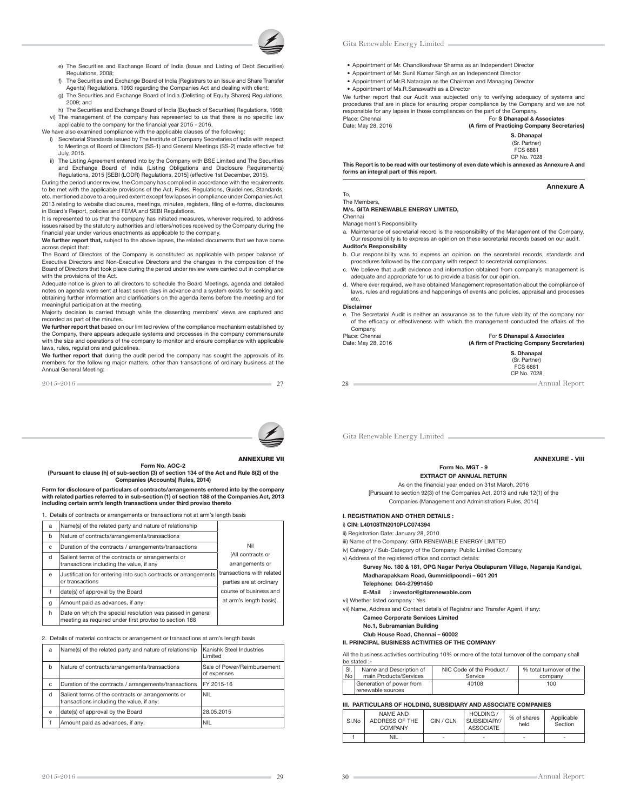

- e) The Securities and Exchange Board of India (Issue and Listing of Debt Securities) Regulations, 2008;
- f) The Securities and Exchange Board of India (Registrars to an Issue and Share Transfer Agents) Regulations, 1993 regarding the Companies Act and dealing with client;
- g) The Securities and Exchange Board of India (Delisting of Equity Shares) Regulations, 2009; and
- h) The Securities and Exchange Board of India (Buyback of Securities) Regulations, 1998; vi) The management of the company has represented to us that there is no specific law applicable to the company for the financial year 2015 - 2016.
- We have also examined compliance with the applicable clauses of the following:
	- i) Secretarial Standards issued by The Institute of Company Secretaries of India with respect to Meetings of Board of Directors (SS-1) and General Meetings (SS-2) made effective 1st July, 2015.
	- ii) The Listing Agreement entered into by the Company with BSE Limited and The Securities and Exchange Board of India (Listing Obligations and Disclosure Requirements) Regulations, 2015 [SEBI (LODR) Regulations, 2015] (effective 1st December, 2015).

During the period under review, the Company has complied in accordance with the requirements to be met with the applicable provisions of the Act, Rules, Regulations, Guidelines, Standards, etc. mentioned above to a required extent except few lapses in compliance under Companies Act, 2013 relating to website disclosures, meetings, minutes, registers, "ling of e-forms, disclosures in Board's Report, policies and FEMA and SEBI Regulations.

It is represented to us that the company has initiated measures, wherever required, to address issues raised by the statutory authorities and letters/notices received by the Company during the financial year under various enactments as applicable to the company.

We further report that, subject to the above lapses, the related documents that we have come across depict that:

The Board of Directors of the Company is constituted as applicable with proper balance of Executive Directors and Non-Executive Directors and the changes in the composition of the Board of Directors that took place during the period under review were carried out in compliance with the provisions of the Act.

Adequate notice is given to all directors to schedule the Board Meetings, agenda and detailed notes on agenda were sent at least seven days in advance and a system exists for seeking and obtaining further information and clari"cations on the agenda items before the meeting and for meaningful participation at the meeting.

Majority decision is carried through while the dissenting members' views are captured and recorded as part of the minutes.

We further report that based on our limited review of the compliance mechanism established by the Company, there appears adequate systems and processes in the company commensurate with the size and operations of the company to monitor and ensure compliance with applicable laws, rules, regulations and guidelines.

We further report that during the audit period the company has sought the approvals of its members for the following major matters, other than transactions of ordinary business at the Annual General Meeting:

 $2015-2016$  27



#### ANNEXURE VII

Form No. AOC-2 (Pursuant to clause (h) of sub-section (3) of section 134 of the Act and Rule 8(2) of the Companies (Accounts) Rules, 2014)

Form for disclosure of particulars of contracts/arrangements entered into by the company with related parties referred to in sub-section (1) of section 188 of the Companies Act, 2013 including certain arm's length transactions under third proviso thereto

1. Details of contracts or arrangements or transactions not at arm's length basis

| a            | Name(s) of the related party and nature of relationship                                                              |                                                      |
|--------------|----------------------------------------------------------------------------------------------------------------------|------------------------------------------------------|
| $\mathsf{b}$ | Nature of contracts/arrangements/transactions                                                                        |                                                      |
| c            | Duration of the contracts / arrangements/transactions                                                                | Nil                                                  |
| d            | Salient terms of the contracts or arrangements or<br>transactions including the value, if any                        | (All contracts or<br>arrangements or                 |
| $\theta$     | Justification for entering into such contracts or arrangements<br>or transactions                                    | transactions with related<br>parties are at ordinary |
|              | date(s) of approval by the Board                                                                                     | course of business and                               |
| g            | Amount paid as advances, if any:                                                                                     | at arm's length basis).                              |
| h            | Date on which the special resolution was passed in general<br>meeting as required under first proviso to section 188 |                                                      |

2. Details of material contracts or arrangement or transactions at arm's length basis

| a        | Name(s) of the related party and nature of relationship                                        | Kanishk Steel Industries<br>Limited        |
|----------|------------------------------------------------------------------------------------------------|--------------------------------------------|
| b        | Nature of contracts/arrangements/transactions                                                  | Sale of Power/Reimbursement<br>of expenses |
| C        | Duration of the contracts / arrangements/transactions                                          | FY 2015-16                                 |
| d        | Salient terms of the contracts or arrangements or<br>transactions including the value, if any: | <b>NIL</b>                                 |
| $\theta$ | date(s) of approval by the Board                                                               | 28.05.2015                                 |
|          | Amount paid as advances, if any:                                                               | <b>NIL</b>                                 |

Gita Renewable Energy Limited

- r Appointment of Mr. Chandikeshwar Sharma as an Independent Director
- r Appointment of Mr. Sunil Kumar Singh as an Independent Director
- r Appointment of Mr.R.Natarajan as the Chairman and Managing Director
- r Appointment of Ms.R.Saraswathi as a Director

We further report that our Audit was subjected only to verifying adequacy of systems and procedures that are in place for ensuring proper compliance by the Company and we are not responsible for any lapses in those compliances on the part of the Company. Place: Chennai For S Dhanapal & Associates<br>Date: May 28, 2016 (A firm of Practicing Company Secretistic

(A firm of Practicing Company Secretaries)

S. Dhanapal (Sr. Partner) FCS 6881 CP No. 7028

This Report is to be read with our testimony of even date which is annexed as Annexure A and forms an integral part of this report.

Annexure A

To,

#### The Members, M/s. GITA RENEWABLE ENERGY LIMITED, Chennai

Management's Responsibility

a. Maintenance of secretarial record is the responsibility of the Management of the Company. Our responsibility is to express an opinion on these secretarial records based on our audit.

Auditor's Responsibility

- b. Our responsibility was to express an opinion on the secretarial records, standards and procedures followed by the company with respect to secretarial compliances.
- c. We believe that audit evidence and information obtained from company's management is adequate and appropriate for us to provide a basis for our opinion.
- d. Where ever required, we have obtained Management representation about the compliance of laws, rules and regulations and happenings of events and policies, appraisal and processes etc.

Disclaimer

e. The Secretarial Audit is neither an assurance as to the future viability of the company nor of the efficacy or effectiveness with which the management conducted the affairs of the

Company.<br>Place: Chennai

#### Place: Chennai For S Dhanapal & Associates<br>Date: May 28, 2016 **For S Dhanapal & Associates**<br>**A firm of Practicing Company Secretion** (A firm of Practicing Company Secretaries) S. Dhanapal (Sr. Partner)

28 Annual Report FCS 6881 CP No. 7028

ANNEXURE - VIII

Gita Renewable Energy Limited

#### Form No. MGT - 9 EXTRACT OF ANNUAL RETURN

As on the financial year ended on 31st March, 2016 [Pursuant to section 92(3) of the Companies Act, 2013 and rule 12(1) of the

Companies (Management and Administration) Rules, 2014]

#### I. REGISTRATION AND OTHER DETAILS :

i) CIN: L40108TN2010PLC074394

ii) Registration Date: January 28, 2010

iii) Name of the Company: GITA RENEWABLE ENERGY LIMITED

iv) Category / Sub-Category of the Company: Public Limited Company

v) Address of the registered office and contact details:

 Survey No. 180 & 181, OPG Nagar Periya Obulapuram Village, Nagaraja Kandigai, Madharapakkam Road, Gummidipoondi – 601 201

Telephone: 044-27991450

E-Mail : investor@gitarenewable.com

vi) Whether listed company : Yes

vii) Name, Address and Contact details of Registrar and Transfer Agent, if any: Cameo Corporate Services Limited

No.1, Subramanian Building

Club House Road, Chennai – 60002

# II. PRINCIPAL BUSINESS ACTIVITIES OF THE COMPANY

All the business activities contributing 10% or more of the total turnover of the company shall

|     | be stated :-             |                           |                         |  |  |  |  |  |  |
|-----|--------------------------|---------------------------|-------------------------|--|--|--|--|--|--|
| SI. | Name and Description of  | NIC Code of the Product / | % total turnover of the |  |  |  |  |  |  |
| No  | main Products/Services   | Service                   | company                 |  |  |  |  |  |  |
|     | Generation of power from | 40108                     | 100                     |  |  |  |  |  |  |
|     | renewable sources        |                           |                         |  |  |  |  |  |  |

#### III. PARTICULARS OF HOLDING, SUBSIDIARY AND ASSOCIATE COMPANIES

| SI.No | NAME AND<br>ADDRESS OF THE<br><b>COMPANY</b> | CIN / GLN | HOLDING /<br>SUBSIDIARY/<br><b>ASSOCIATE</b> | % of shares<br>held | Applicable<br>Section |
|-------|----------------------------------------------|-----------|----------------------------------------------|---------------------|-----------------------|
|       | <b>NIL</b>                                   | -         | ۰                                            | ۰                   | $\,$                  |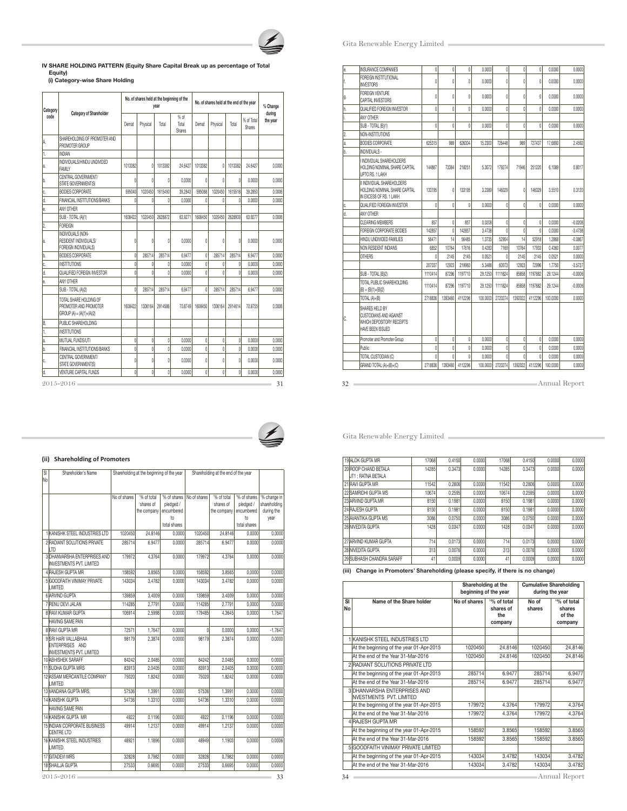

# Gita Renewable Energy Limited

# IV SHARE HOLDING PATTERN (Equity Share Capital Break up as percentage of Total<br>Equity)<br>(i) Category-wise Share Holding

| Category | Category of Shareholder                                                         |              | No, of shares held at the beginning of the<br>vear |              |                           |              | No, of shares held at the end of the vear |              |                      |                    |
|----------|---------------------------------------------------------------------------------|--------------|----------------------------------------------------|--------------|---------------------------|--------------|-------------------------------------------|--------------|----------------------|--------------------|
| code     |                                                                                 | Demat        | Physical                                           | Total        | $%$ of<br>Total<br>Shares | Demat        | Physical                                  | Total        | % of Total<br>Shares | during<br>the year |
| IA.      | SHAREHOLDING OF PROMOTER AND<br>PROMOTER GROUP                                  |              |                                                    |              |                           |              |                                           |              |                      |                    |
| h.       | <b>INDIAN</b>                                                                   |              |                                                    |              |                           |              |                                           |              |                      |                    |
| la.      | INDIVIDUALS/HINDU UNDIVIDED<br><b>FAMILY</b>                                    | 1013382      | 0                                                  | 1013382      | 24.6427                   | 1013382      | $\mathfrak{a}$                            | 1013382      | 24,6427              | 0.0000             |
| lb.      | CENTRAL GOVERNMENT/<br>STATE GOVERNMENTIS)                                      | Ō            | 0                                                  | Ō            | 0.0000                    | O            | $\Omega$                                  | $\theta$     | 0.0000               | 0.0000             |
| c.       | <b>BODIES CORPORATE</b>                                                         | 595040       | 1020450                                            | 1615490      | 39.2843                   | 595068       | 1020450                                   | 1615518      | 39.2850              | 0.0006             |
| Id.      | FINANCIAL INSTITUTIONS/BANKS                                                    | 0            | $\theta$                                           | Ō            | 0.0000                    | 0            | $\theta$                                  | $\theta$     | 0.0000               | 0.0000             |
| le.      | ANY OTHER                                                                       |              |                                                    |              |                           |              |                                           |              |                      |                    |
|          | SUB - TOTAL (A)(1)                                                              | 1608422      | 1020450                                            | 2628872      | 63.9271                   | 1608450      | 1020450                                   | 2628900      | 63.9277              | 0.0006             |
| 2.       | <b>FOREIGN</b>                                                                  |              |                                                    |              |                           |              |                                           |              |                      |                    |
| a.       | INDIVIDUALS (NON-<br>RESIDENT INDIVIDUALS/<br>FOREIGN INDIVIDUALS)              | 0            | 0                                                  | $\theta$     | 0.0000                    | 0            | $\theta$                                  | $\theta$     | 0.0000               | 0.0000             |
| b.       | <b>BODIES CORPORATE</b>                                                         | $\theta$     | 285714                                             | 285714       | 6.9477                    | $\theta$     | 285714                                    | 285714       | 6.9477               | 0.0000             |
| c.       | <b>INSTITUTIONS</b>                                                             | $\theta$     | 0                                                  | 0            | 0.0000                    | 0            | $\theta$                                  | $\theta$     | 0.0000               | 0.0000             |
| Id.      | <b>OUALIFIED FOREIGN INVESTOR</b>                                               | $\theta$     | $\theta$                                           | $\theta$     | 0.0000                    | 0            | $\mathbf{0}$                              | $\mathbf{0}$ | 0.0000               | 0.0000             |
| le.      | ANY OTHER                                                                       |              |                                                    |              |                           |              |                                           |              |                      |                    |
|          | SUB - TOTAL (A)(2)                                                              | $\theta$     | 285714                                             | 285714       | 6.9477                    | $\theta$     | 285714                                    | 285714       | 6.9477               | 0.0000             |
|          | TOTAL SHARE HOLDING OF<br>PROMOTER AND PROMOTER<br>$GROUP(A) = (A)(1) + (A)(2)$ | 1608422      | 1306164                                            | 2914586      | 70.8749                   | 1608450      | 1306164                                   | 2914614      | 70.8755              | 0.0006             |
| IB.      | PUBLIC SHAREHOLDING                                                             |              |                                                    |              |                           |              |                                           |              |                      |                    |
| h.       | <b>INSTITUTIONS</b>                                                             |              |                                                    |              |                           |              |                                           |              |                      |                    |
| a.       | MUTUAL FUNDS/UTI                                                                | 0            | 0                                                  | 0            | 0.0000                    | $\theta$     | $\mathbf{0}$                              | $\theta$     | 0.0000               | 0.0000             |
| lb.      | FINANCIAL INSTITUTIONS/BANKS                                                    | 0            | $\theta$                                           | 0            | 0.0000                    | $\theta$     | 0                                         | $\theta$     | 0.0000               | 0.0000             |
| lc.      | CENTRAL GOVERNMENT/<br>STATE GOVERNMENT(S)                                      | 0            | $\theta$                                           | 0            | 0.0000                    | $\theta$     | $\Omega$                                  | $\theta$     | 0.0000               | 0.0000             |
| ld.      | VENTURE CAPITAL FUNDS                                                           | $\mathbf{0}$ | $\theta$                                           | $\mathbf{0}$ | 0.0000                    | $\mathbf{0}$ | $\mathbf{0}$                              | $\theta$     | 0.0000               | 0.0000             |
|          | $2015 - 2016$                                                                   |              |                                                    |              |                           |              |                                           |              |                      | 31                 |

 $\frac{1}{2}$ 

# **(ii) Shareholding of Promoters**

| SI<br>No | Shareholder's Name                                                         |              | Shareholding at the beginning of the year |                                                              | Shareholding at the end of the year |                                         |                                                               |                                                   |
|----------|----------------------------------------------------------------------------|--------------|-------------------------------------------|--------------------------------------------------------------|-------------------------------------|-----------------------------------------|---------------------------------------------------------------|---------------------------------------------------|
|          |                                                                            |              |                                           |                                                              |                                     |                                         |                                                               |                                                   |
|          |                                                                            | No of shares | '% of total<br>shares of<br>the company   | % of shares<br>pledged /<br>encumbered<br>to<br>total shares | No of shares                        | '% of total<br>shares of<br>the company | '% of shares<br>pledged /<br>encumbered<br>to<br>total shares | % change in<br>shareholding<br>during the<br>year |
|          | 1 KANISHK STEEL INDUSTRIES LTD                                             | 1020450      | 24,8146                                   | 0.0000                                                       | 1020450                             | 24.8146                                 | 0.0000                                                        | 0.0000                                            |
|          | 2 RADIANT SOLUTIONS PRIVATE<br>LTD                                         | 285714       | 6.9477                                    | 0.0000                                                       | 285714                              | 6.9477                                  | 0.0000                                                        | 0.0000                                            |
|          | 3 DHANVARSHA ENTERPRISES AND<br><b>INVESTMENTS PVT. LIMITED</b>            | 179972       | 4.3764                                    | 0.0000                                                       | 179972                              | 4.3764                                  | 0.0000                                                        | 0.0000                                            |
|          | 4 RAJESH GUPTA MR                                                          | 158592       | 3.8565                                    | 0.0000                                                       | 158592                              | 3.8565                                  | 0.0000                                                        | 0.0000                                            |
|          | 5 GOODFAITH VINIMAY PRIVATE<br>LIMITED                                     | 143034       | 3.4782                                    | 0.0000                                                       | 143034                              | 3.4782                                  | 0.0000                                                        | 0.0000                                            |
|          | <b>6 ARVIND GUPTA</b>                                                      | 139859       | 3.4009                                    | 0.0000                                                       | 139859                              | 3.4009                                  | 0.0000                                                        | 0.0000                                            |
|          | 7 RENU DEVI JALAN                                                          | 114285       | 2.7791                                    | 0.0000                                                       | 114285                              | 2.7791                                  | 0.0000                                                        | 0.0000                                            |
|          | 8 RAVI KUMAR GUPTA                                                         | 106914       | 2.5998                                    | 0.0000                                                       | 179485                              | 4.3645                                  | 0.0000                                                        | 1.7647                                            |
|          | <b>HAVING SAME PAN</b>                                                     |              |                                           |                                                              |                                     |                                         |                                                               |                                                   |
|          | 8 RAVI GUPTA MR                                                            | 72571        | 1.7647                                    | 0.0000                                                       | $\theta$                            | 0.0000                                  | 0.0000                                                        | $-1.7647$                                         |
|          | 9 SRI HARI VALLABHAA<br>ENTERPRISES AND<br><b>INVESTMENTS PVT. LIMITED</b> | 98179        | 2.3874                                    | 0.0000                                                       | 98179                               | 2.3874                                  | 0.0000                                                        | 0.0000                                            |
|          | 10 ABHISHEK SARAFF                                                         | 84242        | 2.0485                                    | 0.0000                                                       | 84242                               | 2.0485                                  | 0.0000                                                        | 0.0000                                            |
|          | <b>11 SUDHA GUPTA MRS</b>                                                  | 83913        | 2.0405                                    | 0.0000                                                       | 83913                               | 2.0405                                  | 0.0000                                                        | 0.0000                                            |
|          | 12 ASSAM MERCANTILE COMPANY<br><b>LIMITED</b>                              | 75020        | 1.8242                                    | 0.0000                                                       | 75020                               | 1.8242                                  | 0.0000                                                        | 0.0000                                            |
|          | 13 VANDANA GUPTA MRS.                                                      | 57536        | 1.3991                                    | 0.0000                                                       | 57536                               | 1.3991                                  | 0.0000                                                        | 0.0000                                            |
|          | 14 KANISHK GUPTA                                                           | 54736        | 1.3310                                    | 0.0000                                                       | 54736                               | 1.3310                                  | 0.0000                                                        | 0.0000                                            |
|          | HAVING SAME PAN                                                            |              |                                           |                                                              |                                     |                                         |                                                               |                                                   |
|          | 14 KANISHK GUPTA MR                                                        | 4922         | 0.1196                                    | 0.0000                                                       | 4922                                | 0.1196                                  | 0.0000                                                        | 0.0000                                            |
|          | <b>15 INDIAN CORPORATE BUSINESS</b><br>CENTRE LTD                          | 49914        | 1.2137                                    | 0.0000                                                       | 49914                               | 1.2137                                  | 0.0000                                                        | 0.0000                                            |
|          | 16 KANISHK STEEL INDUSTRIES<br><b>LIMITED</b>                              | 48921        | 1.1896                                    | 0.0000                                                       | 48949                               | 1.1903                                  | 0.0000                                                        | 0.0006                                            |
|          | 17 GITADEVI MRS                                                            | 32828        | 0.7982                                    | 0.0000                                                       | 32828                               | 0.7982                                  | 0.0000                                                        | 0.0000                                            |
|          | 18 SHAILJA GUPTA                                                           | 27533        | 0.6695                                    | 0.0000                                                       | 27533                               | 0.6695                                  | 0.0000                                                        | 0.0000                                            |
|          | $2015 - 2016$                                                              |              |                                           |                                                              |                                     |                                         |                                                               | 33                                                |

| ė. | INSURANCE COMPANIES                                                                       | 0       | $\theta$ | 0        | 0.0000   | 0        | 0        | $\theta$ | 0.0000   | 0.0000    |
|----|-------------------------------------------------------------------------------------------|---------|----------|----------|----------|----------|----------|----------|----------|-----------|
| f. | FOREIGN INSTITUTIONAL<br><b>INVESTORS</b>                                                 | Ō       | $\theta$ | 0        | 0.0000   | 0        | 0        | $\theta$ | 0.0000   | 0.0000    |
| g. | FOREIGN VENTURE<br>CAPITAL INVESTORS                                                      | O       | $\theta$ | 0        | 0.0000   | 0        | 0        | $\theta$ | 0.0000   | 0.0000    |
| h. | <b>QUALIFIED FOREIGN INVESTOR</b>                                                         | Ō       | $\theta$ | $\theta$ | 0.0000   | $\theta$ | $\theta$ | $\theta$ | 0.0000   | 0.0000    |
| İ. | ANY OTHER                                                                                 |         |          |          |          |          |          |          |          |           |
|    | SUB - TOTAL (B)(1)                                                                        | 0       | $\theta$ | $\theta$ | 0.0000   | 0        | 0        | $\theta$ | 0.0000   | 0.0000    |
| 2. | NON-INSTITUTIONS                                                                          |         |          |          |          |          |          |          |          |           |
| â. | BODIES CORPORATE                                                                          | 625315  | 989      | 626304   | 15.2300  | 726448   | 989      | 727437   | 17.6893  | 2.4592    |
| b. | INDIVIDUALS -                                                                             |         |          |          |          |          |          |          |          |           |
|    | I INDIVIDUAL SHAREHOLDERS<br>HOLDING NOMINAL SHARE CAPITAL<br>UPTO RS. 1 LAKH             | 144867  | 73384    | 218251   | 5.3072   | 179274   | 71946    | 251220   | 6.1089   | 0.8017    |
|    | II INDIVIDUAL SHARFHOLDERS<br>HOLDING NOMINAL SHARE CAPITAL<br>IN EXCESS OF RS. 1 LAKH    | 133195  | n        | 133195   | 3.2389   | 146029   | 0        | 146029   | 3.5510   | 0.3120    |
| Ċ. | <b>QUALIFIED FOREIGN INVESTOR</b>                                                         | Ō       | Ō        | $\theta$ | 0.0000   | $\theta$ | 0        | $\theta$ | 0.0000   | 0.0000    |
| d. | ANY OTHER                                                                                 |         |          |          |          |          |          |          |          |           |
|    | CLEARING MEMBERS                                                                          | 857     | $\theta$ | 857      | 0.0208   | 0        | 0        | 0        | 0.0000   | $-0.0208$ |
|    | FOREIGN CORPORATE BODIES                                                                  | 142857  | $\theta$ | 142857   | 3.4738   | $\theta$ | $\theta$ | $\theta$ | 0.0000   | $-3.4738$ |
|    | HINDU UNDIVIDED FAMILIES                                                                  | 56471   | 14       | 56485    | 1.3735   | 52904    | 14       | 52918    | 1.2868   | $-0.0867$ |
|    | NON RESIDENT INDIANS                                                                      | 6852    | 10764    | 17616    | 0.4283   | 7169     | 10764    | 17933    | 0.4360   | 0.0077    |
|    | <b>OTHERS</b>                                                                             | Û       | 2145     | 2145     | 0.0521   | $\theta$ | 2145     | 2145     | 0.0521   | 0.0000    |
|    |                                                                                           | 207037  | 12923    | 219960   | 5.3488   | 60073    | 12923    | 72996    | 1.7750   | $-3.5737$ |
|    | SUB - TOTAL (B)(2)                                                                        | 1110414 | 87296    | 1197710  | 29.1250  | 1111824  | 85858    | 1197682  | 29.1244  | $-0.0006$ |
|    | TOTAL PUBLIC SHAREHOLDING<br>$(B) = (B)(1)+(B)(2)$                                        | 1110414 | 87296    | 1197710  | 29.1250  | 1111824  | 85858    | 1197682  | 29.1244  | $-0.0006$ |
|    | TOTAL (A)+(B)                                                                             | 2718836 | 1393460  | 4112296  | 100,0000 | 2720274  | 1392022  | 4112296  | 100,0000 | 0.0000    |
| Ċ. | SHARES HELD BY<br>CUSTODIANS AND AGAINST<br>WHICH DEPOSITORY RECEIPTS<br>HAVE BEEN ISSUED |         |          |          |          |          |          |          |          |           |
|    | Promoter and Promoter Group                                                               | 0       | $\theta$ | 0        | n nnnn   | 0        | 0        | $\theta$ | 0.0000   | n nnnn    |
|    | Public                                                                                    | 0       | 0        | 0        | 0.0000   | 0        | 0        | 0        | 0.0000   | 0.0000    |
|    | TOTAL CUSTODIAN (C)                                                                       | Û       | Ō        | O        | 0.0000   | $\theta$ | $\theta$ | $\theta$ | 0.0000   | 0.0000    |
|    | GRAND TOTAL (A)+(B)+(C)                                                                   | 2718836 | 1393460  | 4112296  | 100,0000 | 2720274  | 1392022  | 4112296  | 100,0000 | 0.0000    |

32 Annual Report

# Gita Renewable Energy Limited

| 19 ALOK GUPTA MR          | 17068 | 0.4150 | 0.0000 | 17068 | 0.4150 | 0.0000 | 0.0000 |
|---------------------------|-------|--------|--------|-------|--------|--------|--------|
| 20 ROOP CHAND BETALA      | 14285 | 0.3473 | 0.0000 | 14285 | 0.3473 | 0.0000 | 0.0000 |
| IJT1 : RATNA BETALA       |       |        |        |       |        |        |        |
| 21 RAVI GUPTA MR          | 11542 | 0.2806 | 0.0000 | 11542 | 0.2806 | 0.0000 | 0.0000 |
| 22 SAMRIDHI GUPTA MS      | 10674 | 0.2595 | 0.0000 | 10674 | 0.2595 | 0.0000 | 0.0000 |
| 23 ARVIND GUPTA MR        | 8150  | 0.1981 | 0.0000 | 8150  | 0.1981 | 0.0000 | 0.0000 |
| 24 RAJESH GUPTA           | 8150  | 0.1981 | 0.0000 | 8150  | 0.1981 | 0.0000 | 0.0000 |
| 25 AVANTIKA GUPTA MS      | 3086  | 0.0750 | 0.0000 | 3086  | 0.0750 | 0.0000 | 0.0000 |
| 26 NIVEDITA GUPTA         | 1428  | 0.0347 | 0.0000 | 1428  | 0.0347 | 0.0000 | 0.0000 |
|                           |       |        |        |       |        |        |        |
| 27 ARVIND KUMAR GUPTA     | 714   | 0.0173 | 0.0000 | 714   | 0.0173 | 0.0000 | 0.0000 |
| 28 NIVEDITA GUPTA         | 313   | 0.0076 | 0.0000 | 313   | 0.0076 | 0.0000 | 0.0000 |
| 29 SUBHASH CHANDRA SARAFF | 41    | 0.0009 | 0.0000 | 41    | 0.0009 | 0.0000 | 0.0000 |

**(iii) Change in Promoters' Shareholding (please specify, if there is no change)**

|          |                                                                | Shareholding at the<br>beginning of the year |                                                        | <b>Cumulative Shareholding</b><br>during the year |                                                       |  |
|----------|----------------------------------------------------------------|----------------------------------------------|--------------------------------------------------------|---------------------------------------------------|-------------------------------------------------------|--|
| SI<br>No | Name of the Share holder                                       | No of shares                                 | <sup>10%</sup> of total<br>shares of<br>the<br>company | No of<br>shares                                   | <sup>1%</sup> of total<br>shares<br>of the<br>company |  |
|          | <b>1 KANISHK STEEL INDUSTRIES LTD</b>                          |                                              |                                                        |                                                   |                                                       |  |
|          | At the beginning of the year 01-Apr-2015                       | 1020450                                      | 24.8146                                                | 1020450                                           | 24.8146                                               |  |
|          | At the end of the Year 31-Mar-2016                             | 1020450                                      | 24.8146                                                | 1020450                                           | 24.8146                                               |  |
|          | 2 RADIANT SOLUTIONS PRIVATE LTD                                |                                              |                                                        |                                                   |                                                       |  |
|          | At the beginning of the year 01-Apr-2015                       | 285714                                       | 6.9477                                                 | 285714                                            | 6.9477                                                |  |
|          | At the end of the Year 31-Mar-2016                             | 285714                                       | 6.9477                                                 | 285714                                            | 6.9477                                                |  |
|          | <b>3DHANVARSHA ENTERPRISES AND</b><br>INVESTMENTS PVT. LIMITED |                                              |                                                        |                                                   |                                                       |  |
|          | At the beginning of the year 01-Apr-2015                       | 179972                                       | 4.3764                                                 | 179972                                            | 4.3764                                                |  |
|          | At the end of the Year 31-Mar-2016                             | 179972                                       | 4.3764                                                 | 179972                                            | 4.3764                                                |  |
|          | 4 RAJESH GUPTA MR                                              |                                              |                                                        |                                                   |                                                       |  |
|          | At the beginning of the year 01-Apr-2015                       | 158592                                       | 3.8565                                                 | 158592                                            | 3.8565                                                |  |
|          | At the end of the Year 31-Mar-2016                             | 158592                                       | 3.8565                                                 | 158592                                            | 3.8565                                                |  |
|          | 5 GOODFAITH VINIMAY PRIVATE LIMITED                            |                                              |                                                        |                                                   |                                                       |  |
|          | At the beginning of the year 01-Apr-2015                       | 143034                                       | 3.4782                                                 | 143034                                            | 3.4782                                                |  |
|          | At the end of the Year 31-Mar-2016                             | 143034                                       | 3.4782                                                 | 143034                                            | 3.4782                                                |  |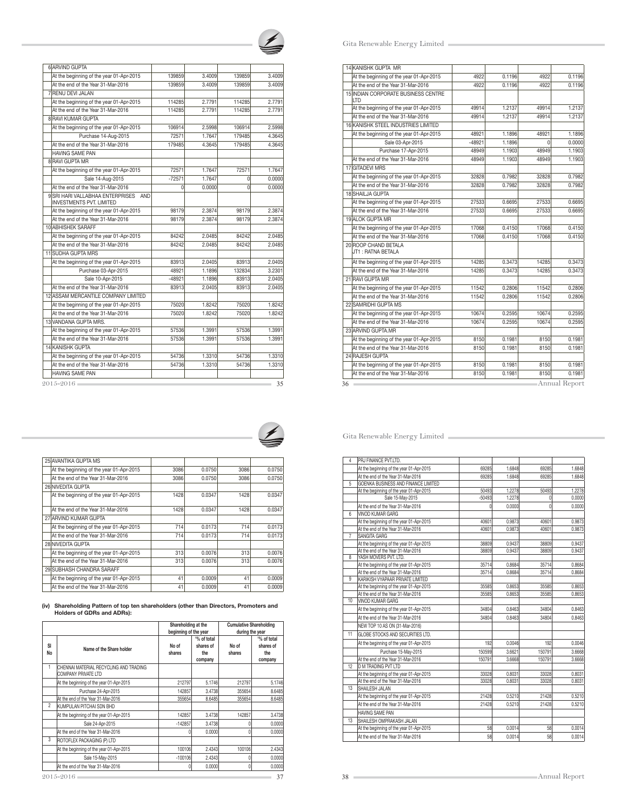

| 6 ARVIND GUPTA                                                                    |          |        |          |        |
|-----------------------------------------------------------------------------------|----------|--------|----------|--------|
| At the beginning of the year 01-Apr-2015                                          | 139859   | 3.4009 | 139859   | 3.4009 |
| At the end of the Year 31-Mar-2016                                                | 139859   | 3.4009 | 139859   | 3.4009 |
| 7 RENU DEVI JALAN                                                                 |          |        |          |        |
| At the beginning of the year 01-Apr-2015                                          | 114285   | 2.7791 | 114285   | 2.7791 |
| At the end of the Year 31-Mar-2016                                                | 114285   | 2.7791 | 114285   | 2.7791 |
| <b>8 RAVI KUMAR GUPTA</b>                                                         |          |        |          |        |
| At the beginning of the year 01-Apr-2015                                          | 106914   | 2.5998 | 106914   | 2.5998 |
| Purchase 14-Aug-2015                                                              | 72571    | 1.7647 | 179485   | 4.3645 |
| At the end of the Year 31-Mar-2016                                                | 179485   | 4.3645 | 179485   | 4.3645 |
| <b>HAVING SAME PAN</b>                                                            |          |        |          |        |
| 8 RAVI GUPTA MR                                                                   |          |        |          |        |
| At the beginning of the year 01-Apr-2015                                          | 72571    | 1.7647 | 72571    | 1.7647 |
| Sale 14-Aug-2015                                                                  | $-72571$ | 1.7647 | $\Omega$ | 0.0000 |
| At the end of the Year 31-Mar-2016                                                | U        | 0.0000 | $\Omega$ | 0.0000 |
| 9 SRI HARI VALLABHAA ENTERPRISES<br><b>AND</b><br><b>INVESTMENTS PVT. LIMITED</b> |          |        |          |        |
| At the beginning of the year 01-Apr-2015                                          | 98179    | 2.3874 | 98179    | 2.3874 |
| At the end of the Year 31-Mar-2016                                                | 98179    | 2.3874 | 98179    | 2.3874 |
| 10 ABHISHEK SARAFF                                                                |          |        |          |        |
| At the beginning of the year 01-Apr-2015                                          | 84242    | 2.0485 | 84242    | 2.0485 |
| At the end of the Year 31-Mar-2016                                                | 84242    | 2.0485 | 84242    | 2.0485 |
| <b>11 SUDHA GUPTA MRS</b>                                                         |          |        |          |        |
| At the beginning of the year 01-Apr-2015                                          | 83913    | 2.0405 | 83913    | 2.0405 |
| Purchase 03-Apr-2015                                                              | 48921    | 1.1896 | 132834   | 3.2301 |
| Sale 10-Apr-2015                                                                  | $-48921$ | 1.1896 | 83913    | 2.0405 |
| At the end of the Year 31-Mar-2016                                                | 83913    | 2.0405 | 83913    | 2.0405 |
| 12 ASSAM MERCANTILE COMPANY LIMITED                                               |          |        |          |        |
| At the beginning of the year 01-Apr-2015                                          | 75020    | 1.8242 | 75020    | 1.8242 |
| At the end of the Year 31-Mar-2016                                                | 75020    | 1.8242 | 75020    | 1.8242 |
| 13 VANDANA GUPTA MRS.                                                             |          |        |          |        |
| At the beginning of the year 01-Apr-2015                                          | 57536    | 1.3991 | 57536    | 1.3991 |
| At the end of the Year 31-Mar-2016                                                | 57536    | 1.3991 | 57536    | 1.3991 |
| <b>14 KANISHK GUPTA</b>                                                           |          |        |          |        |
| At the beginning of the year 01-Apr-2015                                          | 54736    | 1.3310 | 54736    | 1.3310 |
| At the end of the Year 31-Mar-2016                                                | 54736    | 1.3310 | 54736    | 1.3310 |
| <b>HAVING SAME PAN</b>                                                            |          |        |          |        |
| $2015 - 2016$                                                                     |          |        |          | 35     |

| 25 AVANTIKA GUPTA MS                     |      |        |      |        |
|------------------------------------------|------|--------|------|--------|
| At the beginning of the year 01-Apr-2015 | 3086 | 0.0750 | 3086 | 0.0750 |
| At the end of the Year 31-Mar-2016       | 3086 | 0.0750 | 3086 | 0.0750 |
| 26 NIVEDITA GUPTA                        |      |        |      |        |
| At the beginning of the year 01-Apr-2015 | 1428 | 0.0347 | 1428 | 0.0347 |
| At the end of the Year 31-Mar-2016       | 1428 | 0.0347 | 1428 | 0.0347 |
| 27 ARVIND KUMAR GUPTA                    |      |        |      |        |
| At the beginning of the year 01-Apr-2015 | 714  | 0.0173 | 714  | 0.0173 |
| At the end of the Year 31-Mar-2016       | 714  | 0.0173 | 714  | 0.0173 |
| 28 NIVEDITA GUPTA                        |      |        |      |        |
| At the beginning of the year 01-Apr-2015 | 313  | 0.0076 | 313  | 0.0076 |
| At the end of the Year 31-Mar-2016       | 313  | 0.0076 | 313  | 0.0076 |
| 29 SUBHASH CHANDRA SARAFF                |      |        |      |        |
| At the beginning of the year 01-Apr-2015 | 41   | 0.0009 | 41   | 0.0009 |
| At the end of the Year 31-Mar-2016       | 41   | 0.0009 | 41   | 0.0009 |

# (iv) Shareholding Pattern of top ten shareholders (other than Directors, Promoters and Holders of GDRs and ADRs):

|                |                                                               | Shareholding at the<br>beginning of the year |                                                       | <b>Cumulative Shareholding</b><br>during the year |                                            |
|----------------|---------------------------------------------------------------|----------------------------------------------|-------------------------------------------------------|---------------------------------------------------|--------------------------------------------|
| SI<br>No       | Name of the Share holder                                      | No of<br>shares                              | <sup>1%</sup> of total<br>shares of<br>the<br>company | No of<br>shares                                   | '% of total<br>shares of<br>the<br>company |
| 1              | CHENNAI MATERIAL RECYCLING AND TRADING<br>COMPANY PRIVATE LTD |                                              |                                                       |                                                   |                                            |
|                | At the beginning of the year 01-Apr-2015                      | 212797                                       | 5.1746                                                | 212797                                            | 5.1746                                     |
|                | Purchase 24-Apr-2015                                          | 142857                                       | 3.4738                                                | 355654                                            | 8.6485                                     |
|                | At the end of the Year 31-Mar-2016                            | 355654                                       | 8.6485                                                | 355654                                            | 8.6485                                     |
| $\overline{2}$ | KUMPULAN PITCHAI SDN BHD                                      |                                              |                                                       |                                                   |                                            |
|                | At the beginning of the year 01-Apr-2015                      | 142857                                       | 3.4738                                                | 142857                                            | 3.4738                                     |
|                | Sale 24-Apr-2015                                              | $-142857$                                    | 3.4738                                                | Ω                                                 | 0.0000                                     |
|                | At the end of the Year 31-Mar-2016                            |                                              | 0.0000                                                | Ō                                                 | 0.0000                                     |
| 3              | ROTOFLEX PACKAGING (P) LTD                                    |                                              |                                                       |                                                   |                                            |
|                | At the beginning of the year 01-Apr-2015                      | 100106                                       | 2.4343                                                | 100106                                            | 2.4343                                     |
|                | Sale 15-May-2015                                              | $-100106$                                    | 2.4343                                                | Ω                                                 | 0.0000                                     |
|                | At the end of the Year 31-Mar-2016                            | 0                                            | 0.0000                                                | 0                                                 | 0.0000                                     |
|                | 2015-2016                                                     |                                              |                                                       |                                                   | 37                                         |

Gita Renewable Energy Limited

| 14 KANISHK GUPTA MR                        |          |        |          |        |
|--------------------------------------------|----------|--------|----------|--------|
| At the beginning of the year 01-Apr-2015   | 4922     | 0.1196 | 4922     | 0.1196 |
| At the end of the Year 31-Mar-2016         | 4922     | 0.1196 | 4922     | 0.1196 |
| 15 INDIAN CORPORATE BUSINESS CENTRE<br>LTD |          |        |          |        |
| At the beginning of the year 01-Apr-2015   | 49914    | 1.2137 | 49914    | 1.2137 |
| At the end of the Year 31-Mar-2016         | 49914    | 1.2137 | 49914    | 1.2137 |
| 16 KANISHK STEEL INDUSTRIES LIMITED        |          |        |          |        |
| At the beginning of the year 01-Apr-2015   | 48921    | 1.1896 | 48921    | 1.1896 |
| Sale 03-Apr-2015                           | $-48921$ | 1.1896 | $\Omega$ | 0.0000 |
| Purchase 17-Apr-2015                       | 48949    | 1.1903 | 48949    | 1.1903 |
| At the end of the Year 31-Mar-2016         | 48949    | 1.1903 | 48949    | 1.1903 |
| 17 GITADEVI MRS                            |          |        |          |        |
| At the beginning of the year 01-Apr-2015   | 32828    | 0.7982 | 32828    | 0.7982 |
| At the end of the Year 31-Mar-2016         | 32828    | 0.7982 | 32828    | 0.7982 |
| 18 SHAILJA GUPTA                           |          |        |          |        |
| At the beginning of the year 01-Apr-2015   | 27533    | 0.6695 | 27533    | 0.6695 |
| At the end of the Year 31-Mar-2016         | 27533    | 0.6695 | 27533    | 0.6695 |
| <b>19 ALOK GUPTA MR</b>                    |          |        |          |        |
| At the beginning of the year 01-Apr-2015   | 17068    | 0.4150 | 17068    | 0.4150 |
| At the end of the Year 31-Mar-2016         | 17068    | 0.4150 | 17068    | 0.4150 |
| 20 ROOP CHAND BETALA<br>JT1: RATNA BETALA  |          |        |          |        |
| At the beginning of the year 01-Apr-2015   | 14285    | 0.3473 | 14285    | 0.3473 |
| At the end of the Year 31-Mar-2016         | 14285    | 0.3473 | 14285    | 0.3473 |
| 21 RAVI GUPTA MR                           |          |        |          |        |
| At the beginning of the year 01-Apr-2015   | 11542    | 0.2806 | 11542    | 0.2806 |
| At the end of the Year 31-Mar-2016         | 11542    | 0.2806 | 11542    | 0.2806 |
| 22 SAMRIDHI GUPTA MS                       |          |        |          |        |
| At the beginning of the year 01-Apr-2015   | 10674    | 0.2595 | 10674    | 0.2595 |
| At the end of the Year 31-Mar-2016         | 10674    | 0.2595 | 10674    | 0.2595 |
| 23 ARVIND GUPTA.MR                         |          |        |          |        |
| At the beginning of the year 01-Apr-2015   | 8150     | 0.1981 | 8150     | 0.1981 |
| At the end of the Year 31-Mar-2016         | 8150     | 0.1981 | 8150     | 0.1981 |
| 24 RAJESH GUPTA                            |          |        |          |        |
| At the beginning of the year 01-Apr-2015   | 8150     | 0.1981 | 8150     | 0.1981 |
| At the end of the Year 31-Mar-2016         | 8150     | 0.1981 | 8150     | 0.1981 |

# Gita Renewable Energy Limited

| 4              | PRJ FINANCE PVT.LTD.                     |          |        |          |        |
|----------------|------------------------------------------|----------|--------|----------|--------|
|                | At the beginning of the year 01-Apr-2015 | 69285    | 1.6848 | 69285    | 1.6848 |
|                | At the end of the Year 31-Mar-2016       | 69285    | 1.6848 | 69285    | 1.6848 |
| 5              | GOENKA BUSINESS AND FINANCE LIMITED      |          |        |          |        |
|                | At the beginning of the year 01-Apr-2015 | 50493    | 1.2278 | 50493    | 1.2278 |
|                | Sale 15-May-2015                         | $-50493$ | 1.2278 | $\theta$ | 0.0000 |
|                | At the end of the Year 31-Mar-2016       | 0        | 0.0000 | $\theta$ | 0.0000 |
| ĥ              | VINOD KUMAR GARG                         |          |        |          |        |
|                | At the beginning of the year 01-Apr-2015 | 40601    | 0.9873 | 40601    | 0.9873 |
|                | At the end of the Year 31-Mar-2016       | 40601    | 0.9873 | 40601    | 0.9873 |
| $\overline{7}$ | SANGITA GARG                             |          |        |          |        |
|                | At the beginning of the year 01-Apr-2015 | 38809    | 0.9437 | 38809    | 0.9437 |
|                | At the end of the Year 31-Mar-2016       | 38809    | 0.9437 | 38809    | 0.9437 |
| 8              | YASH MOVERS PVT. LTD.                    |          |        |          |        |
|                | At the beginning of the year 01-Apr-2015 | 35714    | 0.8684 | 35714    | 0.8684 |
|                | At the end of the Year 31-Mar-2016       | 35714    | 0.8684 | 35714    | 0.8684 |
| 9              | KARIKISH VYAPAAR PRIVATE LIMITED         |          |        |          |        |
|                | At the beginning of the year 01-Apr-2015 | 35585    | 0.8653 | 35585    | 0.8653 |
|                | At the end of the Year 31-Mar-2016       | 35585    | 0.8653 | 35585    | 0.8653 |
| 10             | VINOD KUMAR GARG                         |          |        |          |        |
|                | At the beginning of the year 01-Apr-2015 | 34804    | 0.8463 | 34804    | 0.8463 |
|                | At the end of the Year 31-Mar-2016       | 34804    | 0.8463 | 34804    | 0.8463 |
|                | NEW TOP 10 AS ON (31-Mar-2016)           |          |        |          |        |
| 11             | GLOBE STOCKS AND SECURITIES LTD.         |          |        |          |        |
|                | At the beginning of the year 01-Apr-2015 | 192      | 0.0046 | 192      | 0.0046 |
|                | Purchase 15-May-2015                     | 150599   | 3.6621 | 150791   | 3.6668 |
|                | At the end of the Year 31-Mar-2016       | 150791   | 3.6668 | 150791   | 3.6668 |
| 12             | <b>D M TRADING PVT LTD</b>               |          |        |          |        |
|                | At the beginning of the year 01-Apr-2015 | 33028    | 0.8031 | 33028    | 0.8031 |
|                | At the end of the Year 31-Mar-2016       | 33028    | 0.8031 | 33028    | 0.8031 |
| 13             | SHAILESH JALAN                           |          |        |          |        |
|                | At the beginning of the year 01-Apr-2015 | 21428    | 0.5210 | 21428    | 0.5210 |
|                | At the end of the Year 31-Mar-2016       | 21428    | 0.5210 | 21428    | 0.5210 |
|                | HAVING SAME PAN                          |          |        |          |        |
| 13             | SHAILESH OMPRAKASH JALAN                 |          |        |          |        |
|                | At the beginning of the year 01-Apr-2015 | 58       | 0.0014 | 58       | 0.0014 |
|                | At the end of the Year 31-Mar-2016       | 58       | 0.0014 | 58       | 0.0014 |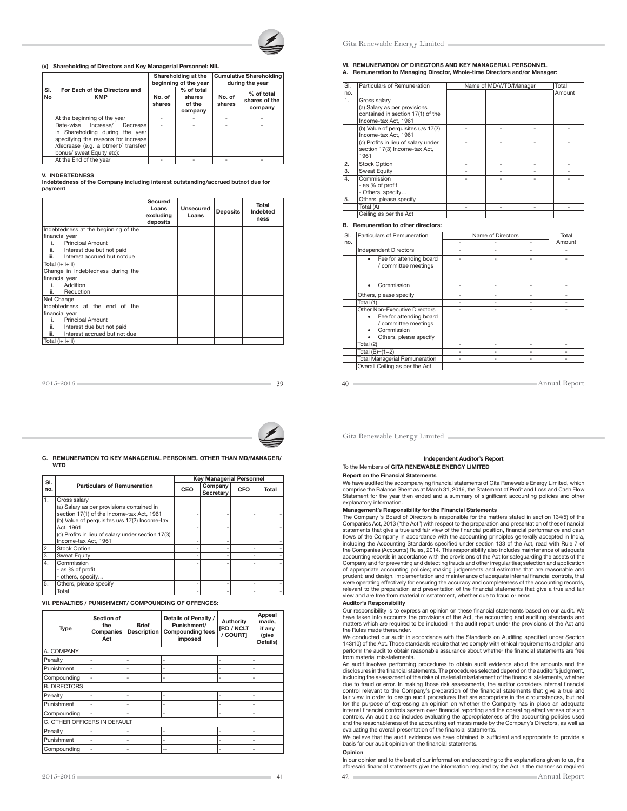

#### (v) Shareholding of Directors and Key Managerial Personnel: NIL

|           |                                                                                                                                                                                   |                  | Shareholding at the<br>beginning of the year | <b>Cumulative Shareholding</b><br>during the year |                                        |  |
|-----------|-----------------------------------------------------------------------------------------------------------------------------------------------------------------------------------|------------------|----------------------------------------------|---------------------------------------------------|----------------------------------------|--|
| SI.<br>No | For Each of the Directors and<br><b>KMP</b>                                                                                                                                       | No. of<br>shares | % of total<br>shares<br>of the<br>company    | No. of<br>shares                                  | % of total<br>shares of the<br>company |  |
|           | At the beginning of the year                                                                                                                                                      |                  |                                              |                                                   |                                        |  |
|           | Date-wise<br>Increase/<br>Decrease<br>in Shareholding during the year<br>specifying the reasons for increase<br>/decrease (e.g. allotment/ transfer/<br>bonus/ sweat Equity etc): |                  |                                              |                                                   |                                        |  |
|           | At the End of the year                                                                                                                                                            |                  |                                              |                                                   |                                        |  |

# V. INDEBTEDNESS

Indebtedness of the Company including interest outstanding/accrued butnot due for payment

|                                      | Secured<br>Loans<br>excluding<br>deposits | Unsecured<br>Loans | <b>Deposits</b> | Total<br>Indebted<br>ness |
|--------------------------------------|-------------------------------------------|--------------------|-----------------|---------------------------|
| Indebtedness at the beginning of the |                                           |                    |                 |                           |
| financial year                       |                                           |                    |                 |                           |
| <b>Principal Amount</b><br>i.        |                                           |                    |                 |                           |
| ii.<br>Interest due but not paid     |                                           |                    |                 |                           |
| iii.<br>Interest accrued but notdue  |                                           |                    |                 |                           |
| Total (i+ii+iii)                     |                                           |                    |                 |                           |
| Change in Indebtedness during the    |                                           |                    |                 |                           |
| financial year                       |                                           |                    |                 |                           |
| Addition<br>i.                       |                                           |                    |                 |                           |
| ii.<br>Reduction                     |                                           |                    |                 |                           |
| Net Change                           |                                           |                    |                 |                           |
| Indebtedness at the end of the       |                                           |                    |                 |                           |
| financial year                       |                                           |                    |                 |                           |
| <b>Principal Amount</b><br>i.        |                                           |                    |                 |                           |
| ii.<br>Interest due but not paid     |                                           |                    |                 |                           |
| iii.<br>Interest accrued but not due |                                           |                    |                 |                           |
| Total (i+ii+iii)                     |                                           |                    |                 |                           |

2015-2016 39



#### C. REMUNERATION TO KEY MANAGERIAL PERSONNEL OTHER THAN MD/MANAGER/ **WTD**

| SI. |                                                   | <b>Key Managerial Personnel</b> |                      |     |       |
|-----|---------------------------------------------------|---------------------------------|----------------------|-----|-------|
| no. | <b>Particulars of Remuneration</b>                | CEO                             | Company<br>Secretary | CFO | Total |
| 1.  | Gross salary                                      |                                 |                      |     |       |
|     | (a) Salary as per provisions contained in         |                                 |                      |     |       |
|     | section 17(1) of the Income-tax Act, 1961         |                                 |                      |     |       |
|     | (b) Value of perquisites u/s 17(2) Income-tax     |                                 |                      |     |       |
|     | Act, 1961                                         |                                 |                      |     |       |
|     | (c) Profits in lieu of salary under section 17(3) |                                 |                      |     |       |
|     | Income-tax Act, 1961                              |                                 |                      |     |       |
| 2.  | <b>Stock Option</b>                               |                                 |                      |     |       |
| 3.  | <b>Sweat Equity</b>                               |                                 |                      |     |       |
| 4.  | Commission                                        |                                 |                      |     |       |
|     | - as % of profit                                  |                                 |                      |     |       |
|     | - others, specify                                 |                                 |                      |     |       |
| 5.  | Others, please specify                            |                                 |                      |     |       |
|     | Total                                             |                                 |                      |     |       |

#### VII. PENALTIES / PUNISHMENT/ COMPOUNDING OF OFFENCES:

| <b>Type</b>                  | Section of<br>the<br>Companies<br>Act | <b>Brief</b><br><b>Description</b> | Details of Penalty /<br>Punishment/<br><b>Compounding fees</b><br>imposed | <b>Authority</b><br><b>[RD / NCLT</b><br>/ COURTI | Appeal<br>made,<br>if any<br>(give<br>Details) |
|------------------------------|---------------------------------------|------------------------------------|---------------------------------------------------------------------------|---------------------------------------------------|------------------------------------------------|
| A. COMPANY                   |                                       |                                    |                                                                           |                                                   |                                                |
| Penalty                      | ۰                                     |                                    | ۰                                                                         | ۰                                                 |                                                |
| Punishment                   |                                       |                                    | ۰                                                                         | ۰                                                 |                                                |
| Compounding                  |                                       |                                    | ۰                                                                         | ۰                                                 | ۰                                              |
| <b>B. DIRECTORS</b>          |                                       |                                    |                                                                           |                                                   |                                                |
| Penalty                      |                                       |                                    |                                                                           |                                                   |                                                |
| Punishment                   |                                       |                                    | ۰                                                                         | ۰                                                 | -                                              |
| Compounding                  |                                       |                                    | ۰                                                                         | ۰                                                 |                                                |
| C. OTHER OFFICERS IN DEFAULT |                                       |                                    |                                                                           |                                                   |                                                |
| Penalty                      |                                       |                                    | ۰                                                                         | ۰                                                 | ۰                                              |
| Punishment                   |                                       |                                    |                                                                           | ۰                                                 |                                                |
| Compounding                  |                                       |                                    | --                                                                        | ۰                                                 |                                                |

# VI. REMUNERATION OF DIRECTORS AND KEY MANAGERIAL PERSONNEL

| A. Remuneration to Managing Director, Whole-time Directors and/or Manager: |  |  |  |
|----------------------------------------------------------------------------|--|--|--|
|                                                                            |  |  |  |

| SI.            | Particulars of Remuneration<br>Name of MD/WTD/Manager |  |  | Total  |
|----------------|-------------------------------------------------------|--|--|--------|
| no.            |                                                       |  |  | Amount |
| 1.             | Gross salary                                          |  |  |        |
|                | (a) Salary as per provisions                          |  |  |        |
|                | contained in section 17(1) of the                     |  |  |        |
|                | Income-tax Act, 1961                                  |  |  |        |
|                | (b) Value of perquisites u/s 17(2)                    |  |  |        |
|                | Income-tax Act, 1961                                  |  |  |        |
|                | (c) Profits in lieu of salary under                   |  |  |        |
|                | section 17(3) Income-tax Act,                         |  |  |        |
|                | 1961                                                  |  |  |        |
| 2.             | <b>Stock Option</b>                                   |  |  |        |
| 3.             | <b>Sweat Equity</b>                                   |  |  |        |
| 4.             | Commission                                            |  |  |        |
|                | - as % of profit                                      |  |  |        |
|                | - Others, specify                                     |  |  |        |
| 5 <sub>1</sub> | Others, please specify                                |  |  |        |
|                | Total (A)                                             |  |  |        |
|                | Ceiling as ner the Act                                |  |  |        |

#### B. Remuneration to other directors:

| SI. | Particulars of Remuneration<br>Name of Directors                                                                         |   |  |   |        |
|-----|--------------------------------------------------------------------------------------------------------------------------|---|--|---|--------|
| no. |                                                                                                                          |   |  |   | Amount |
|     | <b>Independent Directors</b>                                                                                             |   |  |   |        |
|     | Fee for attending board<br>/ committee meetings                                                                          |   |  |   |        |
|     | Commission                                                                                                               |   |  |   |        |
|     | Others, please specify                                                                                                   |   |  |   |        |
|     | Total (1)                                                                                                                |   |  |   |        |
|     | Other Non-Executive Directors<br>Fee for attending board<br>/ committee meetings<br>Commission<br>Others, please specify |   |  |   |        |
|     | Total (2)                                                                                                                |   |  |   |        |
|     | Total $(B)=(1+2)$                                                                                                        |   |  |   |        |
|     | <b>Total Managerial Remuneration</b>                                                                                     | ٠ |  | ۰ |        |
|     | Overall Ceiling as per the Act                                                                                           |   |  |   |        |

40 Annual Report

### Gita Renewable Energy Limited

#### Independent Auditor's Report To the Members of GITA RENEWABLE ENERGY LIMITED

#### Report on the Financial Statements

We have audited the accompanying financial statements of Gita Renewable Energy Limited, which<br>comprise the Balance Sheet as at March 31, 2016, the Statement of Profit and Loss and Cash Flow Statement for the year then ended and a summary of significant accounting policies and other<br>explanatory information.

#### Management's Responsibility for the Financial Statements

The Company 's Board of Directors is responsible for the matters stated in section 134(5) of the Companies Act, 2013 ("the Act") with respect to the preparation and presentation of these financial<br>statements that give a true and fair view of the financial position, financial performance and cash flows of the Company in accordance with the accounting principles generally accepted in India,<br>including the Accounting Standards specified under section 133 of the Act, read with Rule 7 of the Companies (Accounts) Rules, 2014. This responsibility also includes maintenance of adequate<br>accounting records in accordance with the provisions of the Act for safeguarding the assets of the<br>Company and for preventing relevant to the preparation and presentation of the financial statements that give a true and fair view and are free from material misstatement, whether due to fraud or error.

#### Auditor's Responsibility

Our responsibility is to express an opinion on these financial statements based on our audit. We<br>have taken into accounts the provisions of the Act, the accounting and auditing standards and matters which are required to be included in the audit report under the provisions of the Act and the Rules made thereunder.

We conducted our audit in accordance with the Standards on Auditing specified under Section<br>143(10) of the Act. Those standards require that we comply with ethical requirements and plan and perform the audit to obtain reasonable assurance about whether the financial statements are free<br>from material misstatements.

An audit involves performing procedures to obtain audit evidence about the amounts and the<br>disclosures in the financial statements. The procedures selected depend on the auditor's judgment, including the assessment of the risks of material misstatement of the financial statements, whether<br>due to fraud or error. In making those risk assessments, the auditor considers internal financial control relevant to the Company's preparation of the financial statements that give a true and<br>fair view in order to design audit procedures that are appropriate in the circumstances, but not<br>for the purpose of expressing internal financial controls system over financial reporting and the operating effectiveness of such<br>controls. An audit also includes evaluating the appropriateness of the accounting policies used and the reasonableness of the accounting estimates made by the Company's Directors, as well as evaluating the overall presentation of the "nancial statements.

We believe that the audit evidence we have obtained is sufficient and appropriate to provide a<br>basis for our audit opinion on the financial statements.

#### Opinion

In our opinion and to the best of our information and according to the explanations given to us, the aforesaid financial statements give the information required by the Act in the manner so required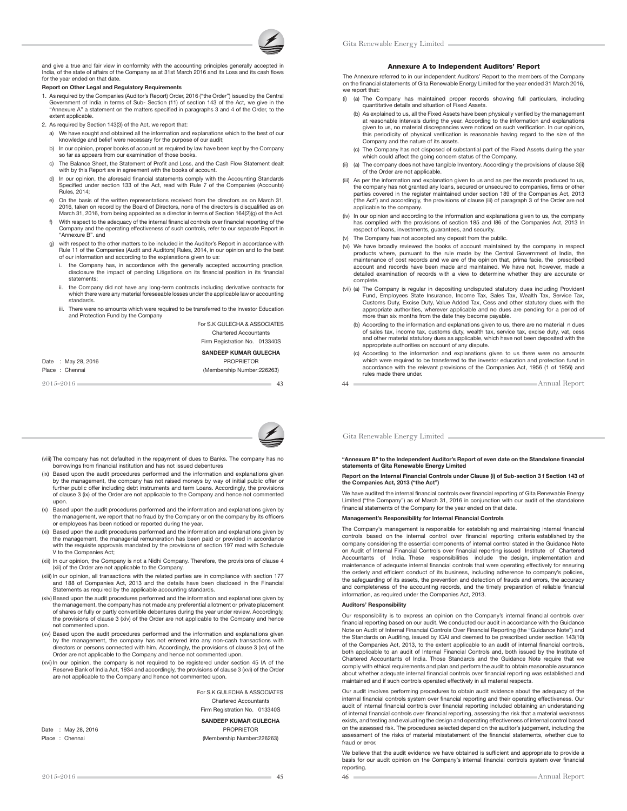and give a true and fair view in conformity with the accounting principles generally accepted in<br>India, of the state of affairs of the Company as at 31st March 2016 and its Loss and its cash flows for the year ended on that date.

# Report on Other Legal and Regulatory Requirements

- 1. As required by the Companies (Auditor's Report) Order, 2016 ("the Order") issued by the Central Government of India in terms of Sub- Section (11) of section 143 of the Act, we give in the "Annexure A" a statement on the matters specified in paragraphs 3 and 4 of the Order, to the extent applicable.
- 2. As required by Section 143(3) of the Act, we report that:
	- a) We have sought and obtained all the information and explanations which to the best of our knowledge and belief were necessary for the purpose of our audit;
- b) In our opinion, proper books of account as required by law have been kept by the Company so far as appears from our examination of those books.
- c) The Balance Sheet, the Statement of Profit and Loss, and the Cash Flow Statement dealt with by this Report are in agreement with the books of account.
	- d) In our opinion, the aforesaid financial statements comply with the Accounting Standards Specified under section 133 of the Act, read with Rule 7 of the Companies (Accounts) Rules, 2014;
	- e) On the basis of the written representations received from the directors as on March 31, 2016, taken on record by the Board of Directors, none of the directors is disqualified as on<br>March 31, 2016, from being appointed as a director in terms of Section 164(2)(g) of the Act.
	- With respect to the adequacy of the internal financial controls over financial reporting of the Company and the operating effectiveness of such controls, refer to our separate Report in "Annexure B". and
- g) with respect to the other matters to be included in the Auditor's Report in accordance with Rule 11 of the Companies (Audit and Auditors) Rules, 2014, in our opinion and to the best of our information and according to the explanations given to us:
	- i. the Company has, in accordance with the generally accepted accounting practice, disclosure the impact of pending Litigations on its financial position in its financial statements;
- ii. the Company did not have any long-term contracts including derivative contracts for which there were any material foreseeable losses under the applicable law or accounting standards.
	- iii. There were no amounts which were required to be transferred to the Investor Education and Protection Fund by the Company

 For S.K GULECHA & ASSOCIATES Chartered Accountants

### Firm Registration No. 013340S SANDEEP KUMAR GULECHA

# Date : May 28, 2016 **PROPRIETOR**

Place : Chennai (Membership Number:226263)

 $2015-2016$   $43$ 



- (viii) The company has not defaulted in the repayment of dues to Banks. The company has no borrowings from financial institution and has not issued debentures
- (ix) Based upon the audit procedures performed and the information and explanations given by the management, the company has not raised moneys by way of initial public offer or further public offer including debt instruments and term Loans. Accordingly, the provisions of clause 3 (ix) of the Order are not applicable to the Company and hence not commented upon.
- (x) Based upon the audit procedures performed and the information and explanations given by the management, we report that no fraud by the Company or on the company by its officers or employees has been noticed or reported during the year.
- (xi) Based upon the audit procedures performed and the information and explanations given by the management, the managerial remuneration has been paid or provided in accordance with the requisite approvals mandated by the provisions of section 197 read with Schedule V to the Companies Act;
- (xii) In our opinion, the Company is not a Nidhi Company. Therefore, the provisions of clause 4 (xii) of the Order are not applicable to the Company.
- (xiii) In our opinion, all transactions with the related parties are in compliance with section 177 and 188 of Companies Act, 2013 and the details have been disclosed in the Financial Statements as required by the applicable accounting standards.
- (xiv) Based upon the audit procedures performed and the information and explanations given by the management, the company has not made any preferential allotment or private placement of shares or fully or partly convertible debentures during the year under review. Accordingly, the provisions of clause 3 (xiv) of the Order are not applicable to the Company and hence not commented upon.
- (xv) Based upon the audit procedures performed and the information and explanations given by the management, the company has not entered into any non-cash transactions with directors or persons connected with him. Accordingly, the provisions of clause 3 (xv) of the Order are not applicable to the Company and hence not commented upon.
- (xvi) In our opinion, the company is not required to be registered under section 45 IA of the Reserve Bank of India Act, 1934 and accordingly, the provisions of clause 3 (xvi) of the Order are not applicable to the Company and hence not commented upon.

 For S.K GULECHA & ASSOCIATES Chartered Accountants Firm Registration No. 013340S

# SANDEEP KUMAR GULECHA

Date : May 28, 2016 **PROPRIETOR** 

Place : Chennai (Membership Number:226263)

#### Annexure A to Independent Auditors' Report

The Annexure referred to in our independent Auditors' Report to the members of the Company on the #nancial statements of Gita Renewable Energy Limited for the year ended 31 March 2016, we report that:

- (i) (a) The Company has maintained proper records showing full particulars, including quantitative details and situation of Fixed Assets.
	- (b) As explained to us, all the Fixed Assets have been physically verified by the management at reasonable intervals during the year. According to the information and explanations<br>given to us, no material discrepancies were noticed on such verification. In our opinion, this periodicity of physical verification is reasonable having regard to the size of the Company and the nature of its assets.
	- (c) The Company has not disposed of substantial part of the Fixed Assets during the year which could affect the going concern status of the Company.
- (ii) (a) The company does not have tangible Inventory. Accordingly the provisions of clause 3(ii) of the Order are not applicable.
- (iii) As per the information and explanation given to us and as per the records produced to us, the company has not granted any loans, secured or unsecured to companies, firms or other parties covered in the register maintained under section 189 of the Companies Act, 2013 ('the Act') and accordingly, the provisions of clause (iii) of paragraph 3 of the Order are not applicable to the company.
- (iv) In our opinion and according to the information and explanations given to us, the company has complied with the provisions of section 185 and I86 of the Companies Act, 2013 In respect of loans, investments, guarantees, and security.
- (v) The Company has not accepted any deposit from the public.
- (vi) We have broadly reviewed the books of account maintained by the company in respect<br>products where, pursuant to the rule made by the Central Government of India, the<br>maintenance of cost records and we are of the opinio account and records have been made and maintained. We have not, however, made a detailed examination of records with a view to determine whether they are accurate or complete.
- (vii) (a) The Company is regular in depositing undisputed statutory dues including Provident Fund, Employees State Insurance, Income Tax, Sales Tax, Wealth Tax, Service Tax, Customs Duty, Excise Duty, Value Added Tax, Cess and other statutory dues with the appropriate authorities, wherever applicable and no dues are pending for a period of more than six months from the date they become payable.
	- (b) According to the information and explanations given to us, there are no material n dues of sales tax, income tax, customs duty, wealth tax, service tax, excise duty, vat, cess and other material statutory dues as applicable, which have not been deposited with the appropriate authorities on account of any dispute.
	- (c) According to the information and explanations given to us there were no amounts which were required to be transferred to the investor education and protection fund in accordance with the relevant provisions of the Companies Act, 1956 (1 of 1956) and rules made there under.

44 Annual Report

Gita Renewable Energy Limited

#### "Annexure B" to the Independent Auditor's Report of even date on the Standalone financial statements of Gita Renewable Energy Limited

#### Report on the Internal Financial Controls under Clause (i) of Sub-section 3 f Section 143 of the Companies Act, 2013 ("the Act")

We have audited the internal financial controls over financial reporting of Gita Renewable Energy Limited ("the Company") as of March 31, 2016 in conjunction with our audit of the standalone financial statements of the Company for the year ended on that date.

#### ement's Responsibility for Internal Financial Controls

The Company's management is responsible for establishing and maintaining internal financial controls based on the internal control over financial reporting criteria established by the<br>company considering the essential components of internal control stated in the Guidance Note on Audit of Internal Financial Controls over financial reporting issued Institute of Chartered Accountants of India. These responsibilities include the design, implementation and maintenance of adequate internal financial controls that were operating effectively for ensuring the orderly and efficient conduct of its business, including adherence to company's policies, the safeguarding of its assets, the prevention and detection of frauds and errors, the accuracy<br>and completeness of the accounting records, and the timely preparation of reliable financial information, as required under the Companies Act, 2013.

#### Auditors' Responsibility

Our responsibility is to express an opinion on the Company's internal financial controls over financial reporting based on our audit. We conducted our audit in accordance with the Guidance Note on Audit of Internal Financial Controls Over Financial Reporting (the "Guidance Note") and the Standards on Auditing, issued by ICAI and deemed to be prescribed under section 143(10) of the Companies Act, 2013, to the extent applicable to an audit of internal financial controls, both applicable to an audit of Internal Financial Controls and, both issued by the Institute of Chartered Accountants of India. Those Standards and the Guidance Note require that we comply with ethical requirements and plan and perform the audit to obtain reasonable assurance about whether adequate internal financial controls over financial reporting was established and maintained and if such controls operated effectively in all material respects.

Our audit involves performing procedures to obtain audit evidence about the adequacy of the internal financial controls system over financial reporting and their operating effectiveness. Our<br>audit of internal financial controls over financial reporting included obtaining an understanding of internal financial controls over financial reporting, assessing the risk that a material weakness exists, and testing and evaluating the design and operating effectiveness of internal control based on the assessed risk. The procedures selected depend on the auditor's judgement, including the assessment of the risks of material misstatement of the financial statements, whether due to fraud or error.

46 Annual Report We believe that the audit evidence we have obtained is sufficient and appropriate to provide a basis for our audit opinion on the Company's internal financial controls system over financial reporting.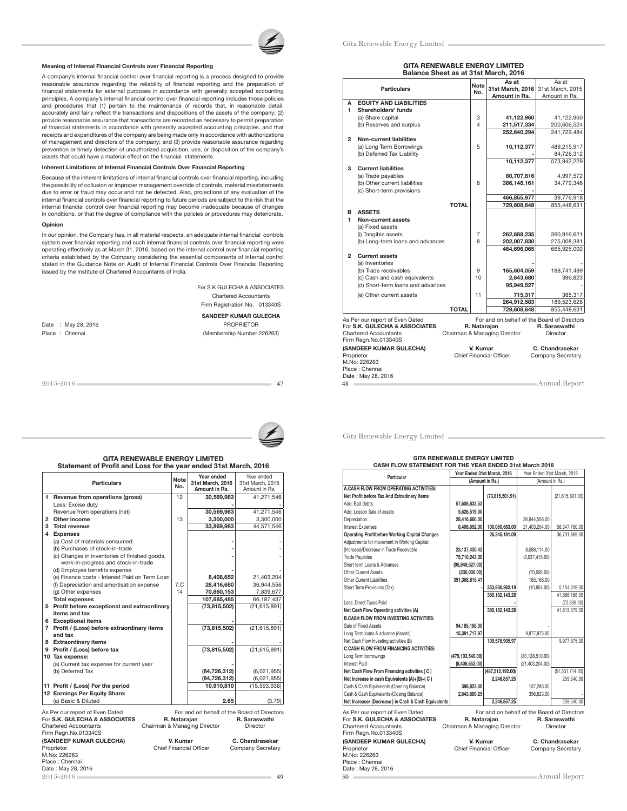#### Meaning of Internal Financial Controls over Financial Reporting

A company's internal financial control over financial reporting is a process designed to provide reasonable assurance regarding the reliability of "nancial reporting and the preparation of financial statements for external purposes in accordance with generally accepted accounting principles. A company's internal financial control over financial reporting includes those policies<br>and procedures that (1) pertain to the maintenance of records that, in reasonable detail, accurately and fairly reflect the transactions and dispositions of the assets of the company; (2) provide reasonable assurance that transactions are recorded as necessary to permit preparation of financial statements in accordance with generally accepted accounting principles, and that receipts and expenditures of the company are being made only in accordance with authorizations of management and directors of the company; and (3) provide reasonable assurance regarding prevention or timely detection of unauthorized acquisition, use, or disposition of the company's assets that could have a material effect on the financial statements.

#### Inherent Limitations of Internal Financial Controls Over Financial Reporting

Because of the inherent limitations of internal financial controls over financial reporting, including the possibility of collusion or improper management override of controls, material misstatements due to error or fraud may occur and not be detected. Also, projections of any evaluation of the internal financial controls over financial reporting to future periods are subject to the risk that the internal financial control over financial reporting may become inadequate because of changes in conditions, or that the degree of compliance with the policies or procedures may deteriorate.

### Opinion

In our opinion, the Company has, in all material respects, an adequate internal financial controls system over financial reporting and such internal financial controls over financial reporting were operating effectively as at March 31, 2016, based on the internal control over "nancial reporting criteria established by the Company considering the essential components of internal control stated in the Guidance Note on Audit of Internal Financial Controls Over Financial Reporting issued by the Institute of Chartered Accountants of India.

> For S.K GULECHA & ASSOCIATES Chartered Accountants

 Firm Registration No. 013340S SANDEEP KUMAR GULECHA<br>PROPRIETOR

Date : May 28, 2016

Place : Chennai (Membership Number:226263)

2015-2016 47



#### GITA RENEWABLE ENERGY LIMITED ––<br>31st March, 2016

|                | <b>Particulars</b>                             | Note<br>No.  | Year ended<br>31st March, 2016<br>Amount in Rs. | Year ended<br>31st March, 2015<br>Amount in Rs. |
|----------------|------------------------------------------------|--------------|-------------------------------------------------|-------------------------------------------------|
| 1.             | Revenue from operations (gross)                | 12           | 30.569.983                                      | 41.271.546                                      |
|                | Less: Excise duty                              |              |                                                 |                                                 |
|                | Revenue from operations (net)                  |              | 30,569,983                                      | 41,271,546                                      |
|                | 2 Other income                                 | 13           | 3,300,000                                       | 3,300,000                                       |
| 3              | <b>Total revenue</b>                           |              | 33,869,983                                      | 44,571,546                                      |
| 4              | <b>Expenses</b>                                |              |                                                 |                                                 |
|                | (a) Cost of materials consumed                 |              |                                                 |                                                 |
|                | (b) Purchases of stock-in-trade                |              |                                                 |                                                 |
|                | (c) Changes in inventories of finished goods,  |              |                                                 |                                                 |
|                | work-in-progress and stock-in-trade            |              |                                                 |                                                 |
|                | (d) Employee benefits expense                  |              |                                                 |                                                 |
|                | (e) Finance costs - Interest Paid on Term Loan |              | 8,408,652                                       | 21.403.204                                      |
|                | (f) Depreciation and amortisation expense      | 7.C.         | 28.416.680                                      | 36,944,556                                      |
|                | (g) Other expenses                             | 14           | 70,860,153                                      | 7,839,677                                       |
|                | <b>Total expenses</b>                          |              | 107,685,485                                     | 66,187,437                                      |
|                | 5 Profit before exceptional and extraordinary  |              | (73, 815, 502)                                  | (21, 615, 891)                                  |
|                | items and tax                                  |              |                                                 |                                                 |
|                | 6 Exceptional items                            |              |                                                 |                                                 |
| $\overline{7}$ | Profit / (Loss) before extraordinary items     |              | (73, 815, 502)                                  | (21, 615, 891)                                  |
|                | and tax                                        |              |                                                 |                                                 |
|                | 8 Extraordinary items                          |              |                                                 |                                                 |
|                | 9 Profit / (Loss) before tax                   |              | (73, 815, 502)                                  | (21, 615, 891)                                  |
|                | 10 Tax expense:                                |              |                                                 |                                                 |
|                | (a) Current tax expense for current year       |              |                                                 |                                                 |
|                | (b) Deferred Tax                               |              | (84, 726, 312)                                  | (6,021,955)                                     |
|                |                                                |              | (84, 726, 312)                                  | (6,021,955)                                     |
|                | 11 Profit / (Loss) For the period              |              | 10,910,810                                      | (15,593,936)                                    |
|                | 12 Earnings Per Equity Share:                  |              |                                                 |                                                 |
|                | (a) Basic & Diluted                            |              | 2.65                                            | (3.79)                                          |
|                |                                                |              |                                                 |                                                 |
|                | As Per our report of Even Dated                |              |                                                 | For and on behalf of the Board of Directors     |
|                | For S.K. GULECHA & ASSOCIATES                  | R. Natarajan |                                                 | R. Saraswathi                                   |
|                | <b>Chartered Accountants</b>                   |              | Chairman & Managing Director                    | Director                                        |
|                | Firm Regn.No.013340S                           |              |                                                 |                                                 |
|                | (SANDEEP KUMAR GULECHA)                        | V. Kumar     |                                                 | C. Chandrasekar                                 |
|                | Proprietor                                     |              | Chief Financial Officer                         | Company Secretary                               |
|                | M.No: 226263                                   |              |                                                 |                                                 |
|                | Place: Chennai                                 |              |                                                 |                                                 |
|                | Date: May 28, 2016                             |              |                                                 |                                                 |

#### GITA RENEWABLE ENERGY LIMITED Balance Sheet as at 31st March, 2016

|                | 00 ONCE AS AT 0 131 MAI 011, 2010 |              |                         |                                             |                   |  |  |  |
|----------------|-----------------------------------|--------------|-------------------------|---------------------------------------------|-------------------|--|--|--|
|                |                                   |              | <b>Note</b>             | As at                                       | As at             |  |  |  |
|                | <b>Particulars</b>                |              | No.                     | 31st March, 2016                            | 31st March, 2015  |  |  |  |
|                |                                   |              |                         | Amount in Rs.                               | Amount in Rs.     |  |  |  |
| А              | <b>EQUITY AND LIABILITIES</b>     |              |                         |                                             |                   |  |  |  |
| 1              | Shareholders' funds               |              |                         |                                             |                   |  |  |  |
|                | (a) Share capital                 |              | 3                       | 41.122.960                                  | 41,122,960        |  |  |  |
|                | (b) Reserves and surplus          |              | $\overline{\mathbf{A}}$ | 211,517,334                                 | 200,606,524       |  |  |  |
|                |                                   |              |                         | 252,640,294                                 | 241,729,484       |  |  |  |
| $\overline{2}$ | <b>Non-current liabilities</b>    |              |                         |                                             |                   |  |  |  |
|                | (a) Long Term Borrowings          |              | 5                       | 10,112,377                                  | 489,215,917       |  |  |  |
|                | (b) Deferred Tax Liability        |              |                         |                                             | 84,726,312        |  |  |  |
|                |                                   |              |                         | 10,112,377                                  | 573,942,229       |  |  |  |
|                |                                   |              |                         |                                             |                   |  |  |  |
| З              | <b>Current liabilities</b>        |              |                         |                                             |                   |  |  |  |
|                | (a) Trade payables                |              |                         | 80,707,816                                  | 4,997,572         |  |  |  |
|                | (b) Other current liabilities     |              | 6                       | 386,148,161                                 | 34,779,346        |  |  |  |
|                | (c) Short-term provisions         |              |                         |                                             |                   |  |  |  |
|                |                                   |              |                         | 466,855,977                                 | 39,776,918        |  |  |  |
|                |                                   | <b>TOTAL</b> |                         | 729,608,648                                 | 855,448,631       |  |  |  |
| в              | <b>ASSETS</b>                     |              |                         |                                             |                   |  |  |  |
| 1.             | Non-current assets                |              |                         |                                             |                   |  |  |  |
|                | (a) Fixed assets                  |              |                         |                                             |                   |  |  |  |
|                | (i) Tangible assets               |              | 7                       | 262.688.235                                 | 390.916.621       |  |  |  |
|                | (b) Long-term loans and advances  |              | R                       | 202.007.830                                 | 275,008,381       |  |  |  |
|                |                                   |              |                         | 464.696.065                                 | 665,925,002       |  |  |  |
| $\overline{2}$ | <b>Current assets</b>             |              |                         |                                             |                   |  |  |  |
|                | (a) Inventories                   |              |                         |                                             |                   |  |  |  |
|                | (b) Trade receivables             |              | 9                       | 165,604,059                                 | 188,741,489       |  |  |  |
|                | (c) Cash and cash equivalents     |              | 10                      | 2.643.680                                   | 396.823           |  |  |  |
|                | (d) Short-term loans and advances |              |                         | 95,949,527                                  |                   |  |  |  |
|                |                                   |              |                         |                                             |                   |  |  |  |
|                | (e) Other current assets          |              | 11                      | 715.317                                     | 385,317           |  |  |  |
|                |                                   |              |                         | 264.912.583                                 | 189,523,628       |  |  |  |
|                |                                   | <b>TOTAL</b> |                         | 729,608,648                                 | 855,448,631       |  |  |  |
|                | As Per our report of Even Dated   |              |                         | For and on behalf of the Board of Directors |                   |  |  |  |
|                | For S.K. GULECHA & ASSOCIATES     |              | R. Nataraian            |                                             | R. Saraswathi     |  |  |  |
|                | <b>Chartered Accountants</b>      |              |                         | Chairman & Managing Director                | <b>Director</b>   |  |  |  |
|                | Firm Regn.No.013340S              |              |                         |                                             |                   |  |  |  |
|                | (SANDEEP KUMAR GULECHA)           |              | V. Kumar                |                                             | C. Chandrasekar   |  |  |  |
| Proprietor     |                                   |              |                         | <b>Chief Financial Officer</b>              | Company Secretary |  |  |  |
|                | M.No: 226263                      |              |                         |                                             |                   |  |  |  |
|                | Place: Chennai                    |              |                         |                                             |                   |  |  |  |
|                | Date: May 28, 2016                |              |                         |                                             |                   |  |  |  |
| $48 -$         |                                   |              |                         |                                             | Annual Report     |  |  |  |

# Gita Renewable Energy Limited

| <b>GITA RENEWABLE ENERGY LIMITED</b><br>CASH FLOW STATEMENT FOR THE YEAR ENDED 31st March 2016 |                                |                                             |                             |                   |
|------------------------------------------------------------------------------------------------|--------------------------------|---------------------------------------------|-----------------------------|-------------------|
| Particular                                                                                     |                                | Year Ended 31st March, 2016                 | Year Ended 31st March, 2015 |                   |
|                                                                                                |                                | (Amount in Rs.)                             | (Amount in Rs.)             |                   |
| A.CASH FLOW FROM OPERATING ACTIVITIES:                                                         |                                |                                             |                             |                   |
| Net Profit before Tax And Extradinary Items                                                    |                                | (73, 815, 501.91)                           |                             | (21, 615, 891.00) |
| Add: Bad debts                                                                                 | 57,608,833.53                  |                                             |                             |                   |
| Add: Losson Sale of assets                                                                     | 5,626,519.00                   |                                             |                             |                   |
| Depreciation                                                                                   | 28,416,680.00                  |                                             | 36,944,556.00               |                   |
| <b>Interest Expenses</b>                                                                       | 8,408,652.00                   | 100,060,683.00                              | 21,403,204.00               | 58,347,760.00     |
| <b>Operating Profitbefore Working Capital Changes</b>                                          |                                | 26,245,181.09                               |                             | 36,731,869.00     |
| Adjustments for movement in Working Capital:                                                   |                                |                                             |                             |                   |
| (Increase)/Decrease in Trade Receivable                                                        | 23, 137, 430. 42               |                                             | 8,088,114.00                |                   |
| <b>Trade Pavables</b>                                                                          | 75.710.243.30                  |                                             | (3,037,415.00)              |                   |
| Short term Loans & Advanses                                                                    | (95, 949, 527.00)              |                                             |                             |                   |
| Other Current Assets                                                                           | (330,000,00)                   |                                             | (70, 592.00)                |                   |
| Other Current Liabilities                                                                      | 351,368,815.47                 |                                             | 185,166.00                  |                   |
| Short Term Provisions (Tax)                                                                    |                                | 353,936,962.19                              | (10, 954.00)                | 5,154,319.00      |
|                                                                                                |                                | 380, 182, 143. 28                           |                             | 41,886,188.00     |
| <b>Less: Direct Taxes Paid</b>                                                                 |                                |                                             |                             | (72,809.00)       |
| Net Cash Flow Operating activities (A)                                                         |                                | 380, 182, 143. 28                           |                             | 41,813,379.00     |
| <b>B.CASH FLOW FROM INVESTING ACTIVITIES:</b>                                                  |                                |                                             |                             |                   |
| Sale of Fixed Assets                                                                           | 94,185,188.00                  |                                             |                             |                   |
| Long Term Ioans & advance (Assets)                                                             | 15,391,717.97                  |                                             | 9,977,875.00                |                   |
| Net Cash Flow Investing activities (B)                                                         |                                | 109,576,905.97                              |                             | 9,977,875.00      |
| <b>C.CASH FLOW FROM FINANCING ACTIVITIES:</b>                                                  |                                |                                             |                             |                   |
| Long Term borrowings                                                                           | (479,103,540.00)               |                                             | (30.128.510.00)             |                   |
| Interest Paid                                                                                  | (8,408,652.00)                 |                                             | (21, 403, 204.00)           |                   |
| Net Cash Flow From Financing activities (C)                                                    |                                | (487,512,192.00)                            |                             | (51, 531, 714.00) |
| Net Increase in cash Equivalents (A)+(B)+(C)                                                   |                                | 2,246,857.25                                |                             | 259,540.00        |
| Cash & Cash Equivalents (Opening Balance)                                                      | 396.823.00                     |                                             | 137,283,00                  |                   |
| Cash & Cash Equivalents (Closing Balance)                                                      | 2,643,680.25                   |                                             | 396.823.00                  |                   |
| Net Increase/ (Decrease) in Cash & Cash Equivalents                                            |                                | 2,246,857.25                                |                             | 259,540.00        |
| As Per our report of Even Dated                                                                |                                | For and on behalf of the Board of Directors |                             |                   |
| For S.K. GULECHA & ASSOCIATES                                                                  | R. Natarajan                   |                                             |                             | R. Saraswathi     |
| <b>Chartered Accountants</b>                                                                   | Chairman & Managing Director   |                                             |                             | <b>Director</b>   |
| Firm Regn.No.013340S                                                                           |                                |                                             |                             |                   |
| (SANDEEP KUMAR GULECHA)                                                                        | V. Kumar                       |                                             |                             | C. Chandrasekar   |
| Proprietor                                                                                     | <b>Chief Financial Officer</b> |                                             |                             | Company Secretary |
| M.No: 226263<br>Place: Chennai                                                                 |                                |                                             |                             |                   |
| Date: May 28, 2016                                                                             |                                |                                             |                             |                   |
| $50 -$                                                                                         |                                |                                             |                             | Annual Report،    |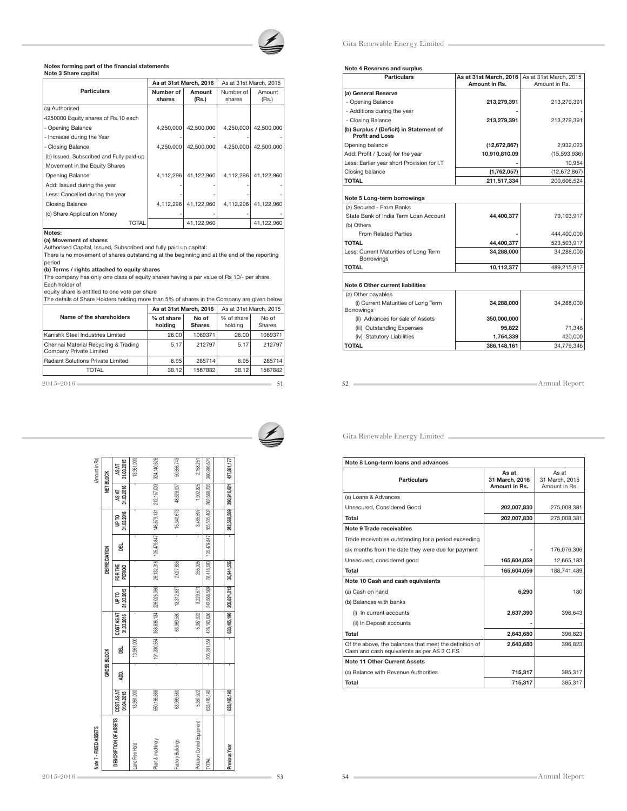

# Notes forming part of the financial statements Note 3 Share capital

|                                          | As at 31st March, 2016 |                 | As at 31st March, 2015 |                 |  |
|------------------------------------------|------------------------|-----------------|------------------------|-----------------|--|
| <b>Particulars</b>                       | Number of<br>shares    | Amount<br>(Rs.) | Number of<br>shares    | Amount<br>(Rs.) |  |
| (a) Authorised                           |                        |                 |                        |                 |  |
| 4250000 Equity shares of Rs.10 each      |                        |                 |                        |                 |  |
| - Opening Balance                        | 4.250.000              | 42,500,000      | 4.250.000              | 42,500,000      |  |
| - Increase during the Year               |                        |                 |                        |                 |  |
| - Closing Balance                        | 4,250,000              | 42,500,000      | 4.250.000              | 42,500,000      |  |
| (b) Issued, Subscribed and Fully paid-up |                        |                 |                        |                 |  |
| Movement in the Equity Shares            |                        |                 |                        |                 |  |
| Opening Balance                          | 4,112,296              | 41,122,960      | 4,112,296              | 41,122,960      |  |
| Add: Issued during the year              |                        |                 |                        |                 |  |
| Less: Cancelled during the year          |                        |                 |                        |                 |  |
| <b>Closing Balance</b>                   | 4,112,296              | 41,122,960      | 4,112,296              | 41,122,960      |  |
| (c) Share Application Money              |                        |                 |                        |                 |  |
| TOTAL                                    |                        | 41,122,960      |                        | 41,122,960      |  |

Notes: (a) Movement of shares Authorised Capital, Issued, Subscribed and fully paid up capital: There is no movement of shares outstanding at the beginning and at the end of the reporting period (b) Terms / rights attached to equity shares

The company has only one class of equity shares having a par value of Rs 10/- per share. Each holder of

equity share is entitled to one vote per share The details of Share Holders holding more than 5% of shares in the Company are given below

| The details of Share Holders holding more than 5% or shares in the Company are given below |                        |                        |                       |                        |  |
|--------------------------------------------------------------------------------------------|------------------------|------------------------|-----------------------|------------------------|--|
|                                                                                            | As at 31st March, 2016 |                        |                       | As at 31st March, 2015 |  |
| Name of the shareholders                                                                   | % of share<br>holdina  | No of<br><b>Shares</b> | % of share<br>holdina | No of<br>Shares        |  |
| Kanishk Steel Industries Limited                                                           | 26.00                  | 1069371                | 26.00                 | 1069371                |  |
| Chennai Material Recycling & Trading<br>Company Private Limited                            | 5.17                   | 212797                 | 5.17                  | 212797                 |  |
| Radiant Solutions Private Limited                                                          | 6.95                   | 285714                 | 6.95                  | 285714                 |  |
| TOTAL                                                                                      | 38.12                  | 1567882                | 38.12                 | 1567882                |  |
|                                                                                            |                        |                        |                       |                        |  |

 $2015 - 2016$  51



|  | Gita Renewable Energy Limited |  |  |
|--|-------------------------------|--|--|
|--|-------------------------------|--|--|

# Note 4 Reserves and surplus

| <b>Particulars</b>                                                | As at 31st March, 2016<br>Amount in Rs. | As at 31st March, 2015<br>Amount in Rs. |
|-------------------------------------------------------------------|-----------------------------------------|-----------------------------------------|
| (a) General Reserve                                               |                                         |                                         |
| - Opening Balance                                                 | 213,279,391                             | 213,279,391                             |
| - Additions during the year                                       |                                         |                                         |
| - Closing Balance                                                 | 213,279,391                             | 213,279,391                             |
| (b) Surplus / (Deficit) in Statement of<br><b>Profit and Loss</b> |                                         |                                         |
| Opening balance                                                   | (12,672,867)                            | 2,932,023                               |
| Add: Profit / (Loss) for the year                                 | 10,910,810.09                           | (15,593,936)                            |
| Less: Earlier year short Provision for I.T                        |                                         | 10,954                                  |
| Closing balance                                                   | (1,762,057)                             | (12, 672, 867)                          |
| <b>TOTAL</b>                                                      | 211,517,334                             | 200,606,524                             |
| State Bank of India Term Loan Account<br>(b) Others               | 44.400.377                              | 79,103,917                              |
| <b>From Related Parties</b>                                       |                                         | 444,400,000                             |
| <b>TOTAL</b>                                                      | 44,400,377                              | 523,503,917                             |
| Less: Current Maturities of Long Term<br>Borrowings               | 34,288,000                              | 34,288,000                              |
| <b>TOTAL</b>                                                      | 10,112,377                              | 489.215.917                             |
| Note 6 Other current liabilities                                  |                                         |                                         |
| (a) Other payables                                                |                                         |                                         |
| (i) Current Maturities of Long Term<br><b>Borrowings</b>          | 34,288,000                              | 34,288,000                              |
| (ii) Advances for sale of Assets                                  | 350,000,000                             |                                         |
| (iii) Outstanding Expenses                                        | 95.822                                  | 71,346                                  |
| (iv) Statutory Liabilities                                        | 1,764,339                               | 420,000                                 |
| <b>TOTAL</b>                                                      | 386,148,161                             | 34,779,346                              |

52 Annual Report

Gita Renewable Energy Limited

| Note 8 Long-term loans and advances                                                                    |                                          |                                          |  |
|--------------------------------------------------------------------------------------------------------|------------------------------------------|------------------------------------------|--|
| <b>Particulars</b>                                                                                     | As at<br>31 March, 2016<br>Amount in Rs. | As at<br>31 March, 2015<br>Amount in Rs. |  |
| (a) Loans & Advances                                                                                   |                                          |                                          |  |
| Unsecured, Considered Good                                                                             | 202.007.830                              | 275,008,381                              |  |
| Total                                                                                                  | 202.007.830                              | 275.008.381                              |  |
| Note 9 Trade receivables                                                                               |                                          |                                          |  |
| Trade receivables outstanding for a period exceeding                                                   |                                          |                                          |  |
| six months from the date they were due for payment                                                     |                                          | 176,076,306                              |  |
| Unsecured, considered good                                                                             | 165,604,059                              | 12,665,183                               |  |
| Total                                                                                                  | 165.604.059                              | 188,741,489                              |  |
| Note 10 Cash and cash equivalents                                                                      |                                          |                                          |  |
| (a) Cash on hand                                                                                       | 6,290                                    | 180                                      |  |
| (b) Balances with banks                                                                                |                                          |                                          |  |
| (i) In current accounts                                                                                | 2,637,390                                | 396,643                                  |  |
| (ii) In Deposit accounts                                                                               |                                          |                                          |  |
| Total                                                                                                  | 2.643.680                                | 396,823                                  |  |
| Of the above, the balances that meet the definition of<br>Cash and cash equivalents as per AS 3 C.F.S. | 2,643,680                                | 396,823                                  |  |
| <b>Note 11 Other Current Assets</b>                                                                    |                                          |                                          |  |
| (a) Balance with Revenue Authorities                                                                   | 715,317                                  | 385,317                                  |  |
| Total                                                                                                  | 715.317                                  | 385.317                                  |  |

| Note 7 - FIXED ASSETS       |                                 |      |             |                          |                           |                     |             |                                |                     | (Amount in Rs)      |
|-----------------------------|---------------------------------|------|-------------|--------------------------|---------------------------|---------------------|-------------|--------------------------------|---------------------|---------------------|
|                             |                                 |      | GROSS BLOCK |                          |                           | <b>DEPRECIATION</b> |             |                                | <b>NETBLOCK</b>     |                     |
| DESCRIPTION OF ASSETS       | <b>COST AS AT</b><br>01.04.2015 | ADD. | 삠           | COST AS AT<br>31.03.2016 | 31.03.2015<br><b>DLdN</b> | FOR THE<br>PERIOD   | 빏           | 31.03.2016<br>UP <sub>TO</sub> | 31.03.2016<br>AS AT | 31.03.2015<br>AS AT |
| Land Free Hold              | 13,961,000                      |      | 13,961,000  |                          |                           |                     |             |                                |                     | 13,961,000          |
| Plant & machinery           | 550, 166, 688                   |      | 191,330,554 | 358,836,134              | 226,026,060               | 26,132,918          | 105,479,847 | 146,679,131                    | 212,157,003         | 324,140,628         |
| Factory Buildings           | 63,969,580                      |      |             | 63,969,580               | 13,312,837                | 2,027,836           |             | 15,340,673                     | 48,628,907          | 50,656,743          |
| Pollution Control Equipment | 5,387,922                       |      | ī           | 5,387,922                | 3,229,671                 | 255,926             | ī           | 3,485,597                      | 1,902,325           | 2,158,251           |
| TOTAL                       | 633,485,190                     |      | 205,291,554 | 428,193,636              | 242,568,569               | 28,416,680          | 105,479,847 | 165,505,402                    | 262,688,235         | 390,916,621         |
| <b>Previous Year</b>        | 633,485,190                     | ٠    | 7           | 633,485,190              | 205,624,013               | 36,944,556          |             | 242,568,569                    | 390,916,621         | 427,861,177         |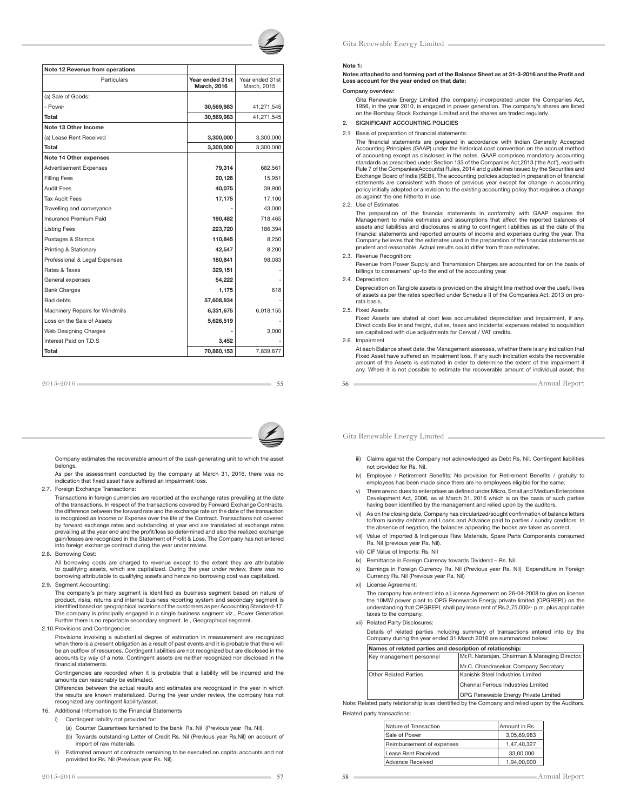

| Note 12 Revenue from operations |                 |                 |
|---------------------------------|-----------------|-----------------|
| <b>Particulars</b>              | Year ended 31st | Year ended 31st |
|                                 | March, 2016     | March, 2015     |
| (a) Sale of Goods:              |                 |                 |
| - Power                         | 30.569.983      | 41,271,545      |
| Total                           | 30,569,983      | 41,271,545      |
| Note 13 Other Income            |                 |                 |
| (a) Lease Rent Received         | 3,300,000       | 3,300,000       |
| Total                           | 3,300,000       | 3,300,000       |
| Note 14 Other expenses          |                 |                 |
| <b>Advertisement Expenses</b>   | 79,314          | 682,561         |
| <b>Filling Fees</b>             | 20,126          | 15,951          |
| <b>Audit Fees</b>               | 40.075          | 39,900          |
| Tax Audit Fees                  | 17,175          | 17,100          |
| Travelling and conveyance       |                 | 43,000          |
| Insurance Premium Paid          | 190.482         | 718,465         |
| <b>Listing Fees</b>             | 223,720         | 186,394         |
| Postages & Stamps               | 110,845         | 8,250           |
| Printing & Stationary           | 42,547          | 8,200           |
| Professional & Legal Expenses   | 180.841         | 98.083          |
| Rates & Taxes                   | 329,151         |                 |
| General expenses                | 54,222          |                 |
| <b>Bank Charges</b>             | 1.175           | 618             |
| Bad debts                       | 57,608,834      |                 |
| Machinery Repairs for Windmills | 6,331,675       | 6,018,155       |
| Loss on the Sale of Assets      | 5,626,519       |                 |
| Web Designing Charges           |                 | 3,000           |
| Interest Paid on T.D.S.         | 3,452           |                 |
| Total                           | 70,860,153      | 7,839,677       |

 $2015 - 2016$  55



Company estimates the recoverable amount of the cash generating unit to which the asset belongs.

 As per the assessment conducted by the company at March 31, 2016, there was no indication that fixed asset have suffered an impairment loss.

#### 2.7. Foreign Exchange Transactions:

 Transactions in foreign currencies are recorded at the exchange rates prevailing at the date of the transactions. In respect of the transactions covered by Forward Exchange Contracts, the difference between the forward rate and the exchange rate on the date of the transaction is recognized as Income or Expense over the life of the Contract. Transactions not covered by forward exchange rates and outstanding at year end are translated at exchange rates prevailing at the year end and the profit/loss so determined and also the realized exchange<br>gain/losses are recognized in the Statement of Profit & Loss. The Company has not entered into foreign exchange contract during the year under review.

2.8. Borrowing Cost:

 All borrowing costs are charged to revenue except to the extent they are attributable to qualifying assets, which are capitalized. During the year under review, there was no borrowing attributable to qualifying assets and hence no borrowing cost was capitalized.

2.9. Segment Accounting:

The company's primary segment is identified as business segment based on nature of product, risks, returns and internal business reporting system and secondary segment is identified based on geographical locations of the customers as per Accounting Standard-17.<br>The company is principally engaged in a single business segment viz., Power Generation Further there is no reportable secondary segment. Ie., Geographical segment.

2.10. Provisions and Contingencies:

 Provisions involving a substantial degree of estimation in measurement are recognized when there is a present obligation as a result of past events and it is probable that there will be an outflow of resources. Contingent liabilities are not recognized but are disclosed in the accounts by way of a note. Contingent assets are neither recognized nor disclosed in the financial statements.

 Contingencies are recorded when it is probable that a liability will be incurred and the amounts can reasonably be estimated.

 Differences between the actual results and estimates are recognized in the year in which the results are known materialized. During the year under review, the company has not recognized any contingent liability/asset.

- 16. Additional Information to the Financial Statements
	- i) Contingent liability not provided for:
		- (a) Counter Guarantees furnished to the bank Rs. Nil (Previous year Rs. Nil). (b) Towards outstanding Letter of Credit Rs. Nil (Previous year Rs.Nil) on account of
		- import of raw materials.
	- Estimated amount of contracts remaining to be executed on capital accounts and not provided for Rs. Nil (Previous year Rs. Nil).

# Gita Renewable Energy Limited

### Note 1:

Notes attached to and forming part of the Balance Sheet as at 31-3-2016 and the Profit and Loss account for the year ended on that date:

#### Company overview:

 Gita Renewable Energy Limited (the company) incorporated under the Companies Act, 1956, in the year 2010, is engaged in power generation. The company's shares are listed on the Bombay Stock Exchange Limited and the shares are traded regularly.

- 2. SIGNIFICANT ACCOUNTING POLICIES
- 2.1 Basis of preparation of financial statements:

The financial statements are prepared in accordance with Indian Generally Accepted Accounting Principles (GAAP) under the historical cost convention on the accrual method of accounting except as disclosed in the notes. GAAP comprises mandatory accounting standards as prescribed under Section 133 of the Companies Act,2013 ('the Act'), read with Rule 7 of the Companies(Accounts) Rules, 2014 and guidelines issued by the Securities and<br>Exchange Board of India (SEBI). The accounting policies adopted in preparation of financial statements are consistent with those of previous year except for change in accounting policy initially adopted or a revision to the existing accounting policy that requires a change as against the one hitherto in use.

#### 2.2. Use of Estimates

 The preparation of the "nancial statements in conformity with GAAP requires the Management to make estimates and assumptions that affect the reported balances of assets and liabilities and disclosures relating to contingent liabilities as at the date of the financial statements and reported amounts of income and expenses during the year. The Company believes that the estimates used in the preparation of the financial statements as prudent and reasonable. Actual results could differ from those estimates.

2.3. Revenue Recognition:

 Revenue from Power Supply and Transmission Charges are accounted for on the basis of billings to consumers' up-to the end of the accounting year.

2.4. Depreciation:

Depreciation on Tangible assets is provided on the straight line method over the useful lives<br>of assets as per the rates specified under Schedule II of the Companies Act, 2013 on prorata basis.

#### 2.5. Fixed Assets:

 Fixed Assets are stated at cost less accumulated depreciation and impairment, if any. Direct costs like inland freight, duties, taxes and incidental expenses related to acquisition are capitalized with due adjustments for Cenvat / VAT credits.

2.6. Impairment

 At each Balance sheet date, the Management assesses, whether there is any indication that Fixed Asset have suffered an impairment loss. If any such indication exists the recoverable amount of the Assets is estimated in order to determine the extent of the impairment if any. Where it is not possible to estimate the recoverable amount of individual asset, the

56 Annual Report

Gita Renewable Energy Limited

- iii) Claims against the Company not acknowledged as Debt Rs. Nil. Contingent liabilities not provided for Rs. Nil.
- iv) Employee / Retirement Benefits: No provision for Retirement Benefits / gratuity to employees has been made since there are no employees eligible for the same.
- v) There are no dues to enterprises as de"ned under Micro, Small and Medium Enterprises Development Act, 2006, as at March 31, 2016 which is on the basis of such parties having been identified by the management and relied upon by the auditors.
	- vi) As on the closing date, Company has circularized/sought confirmation of balance letters to/from sundry debtors and Loans and Advance paid to parties / sundry creditors. In the absence of negation, the balances appearing the books are taken as correct.
	- vii) Value of Imported & Indigenous Raw Materials, Spare Parts Components consumed Rs. Nil (previous year Rs. Nil).
	- viii) CIF Value of Imports: Rs. Nil
	- ix) Remittance in Foreign Currency towards Dividend Rs. Nil.
- x) Earnings in Foreign Currency Rs. Nil (Previous year Rs. Nil) Expenditure in Foreign Currency Rs. Nil (Previous year Rs. Nil)
	- xi) License Agreement:

The company has entered into a License Agreement on 26-04-2008 to give on license<br>the 10MW power plant to OPG Renewable Energy private limited (OPGREPL) on the<br>understanding that OPGREPL shall pay lease rent of Rs.2,75,000 taxes to the company.

- xii) Related Party Disclosures:
- Details of related parties including summary of transactions entered into by the Company during the year ended 31 March 2016 are summarized below:

| Names of related parties and description of relationship: |                                                |
|-----------------------------------------------------------|------------------------------------------------|
| Key management personnel                                  | Mr.R. Natarajan, Chairman & Managing Director, |
|                                                           | Mr.C. Chandrasekar, Company Secratary          |
| Other Related Parties                                     | Kanishk Steel Industries Limited               |
|                                                           | Chennai Ferrous Industries Limited             |
|                                                           | OPG Renewable Energy Private Limited           |

Note: Related party relationship is as identified by the Company and relied upon by the Auditors. Related party transactions:

| Nature of Transaction     | Amount in Rs. |
|---------------------------|---------------|
| Sale of Power             | 3.05.69.983   |
| Reimbursement of expenses | 1.47.40.327   |
| Lease Rent Received       | 33,00,000     |
| Advance Received          | 1.94.00.000   |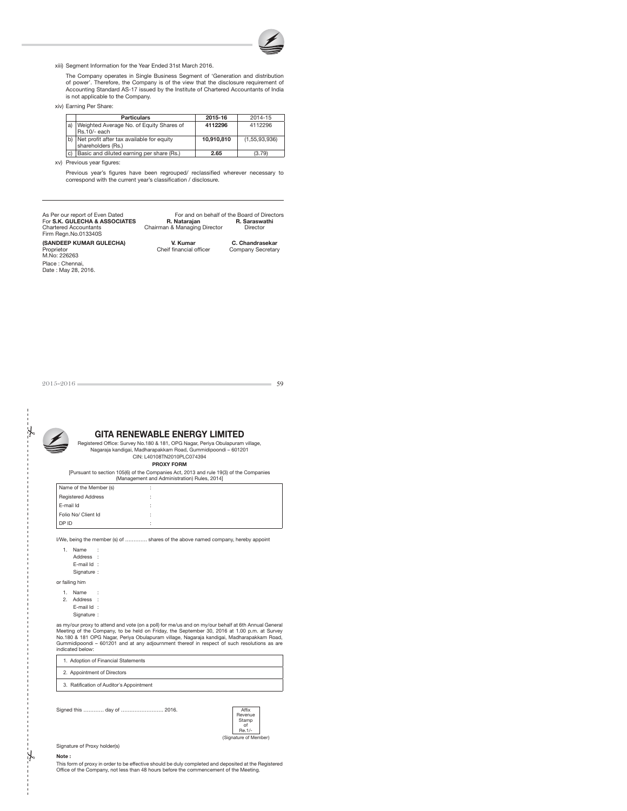

xiii) Segment Information for the Year Ended 31st March 2016.

 The Company operates in Single Business Segment of 'Generation and distribution of power'. Therefore, the Company is of the view that the disclosure requirement of Accounting Standard AS-17 issued by the Institute of Chartered Accountants of India is not applicable to the Company.

xiv) Earning Per Share:

|              | <b>Particulars</b>                        | 2015-16    | 2014-15       |
|--------------|-------------------------------------------|------------|---------------|
| a            | Weighted Average No. of Equity Shares of  | 4112296    | 4112296       |
|              | Rs.10/- each                              |            |               |
| $\mathsf{b}$ | Net profit after tax available for equity | 10.910.810 | (1.55.93.936) |
|              | shareholders (Rs.)                        |            |               |
| C)           | Basic and diluted earning per share (Rs.) | 2.65       | (3.79)        |

xv) Previous year figures:

Previous year's figures have been regrouped/ reclassified wherever necessary to correspond with the current year's classification / disclosure.

| As Per our report of Even Dated<br>For S.K. GULECHA & ASSOCIATES<br><b>Chartered Accountants</b><br>Firm Regn.No.013340S | R. Nataraian<br>Chairman & Managing Director | For and on behalf of the Board of Directors<br>R. Saraswathi<br>Director |
|--------------------------------------------------------------------------------------------------------------------------|----------------------------------------------|--------------------------------------------------------------------------|
| (SANDEEP KUMAR GULECHA)<br>Proprietor<br>M.No: 226263<br>Place: Chennai.<br>Date: May 28, 2016.                          | V. Kumar<br>Cheif financial officer          | C. Chandrasekar<br>Company Secretary                                     |

2015-2016 59



GITA RENEWABLE ENERGY LIMITED

Registered Office: Survey No.180 & 181, OPG Nagar, Periya Obulapuram village,<br>Nagaraja kandigai, Madharapakkam Road, Gummidipoondi – 601201 CIN: L40108TN2010PLC074394

PROXY FORM

[Pursuant to section 105(6) of the Companies Act, 2013 and rule 19(3) of the Companies (Management and Administration) Rules, 2014]

Name of the Member (s) Registered Address : E-mail Id : Folio No/ Client Id : DP ID :

I/We, being the member (s) of …………. shares of the above named company, hereby appoint

| Name       |  |
|------------|--|
| Address    |  |
| F-mail Id  |  |
| Signature: |  |

or failing him

 $1.$ 

- 1. Name
- 2. Address : E-mail Id :
	- Signature :

as my/our proxy to attend and vote (on a poll) for me/us and on my/our behalf at 6th Annual General<br>Meeting of the Company, to be held on Friday, the September 30, 2016 at 1.00 p.m. at Survey<br>No.180 & 181 OPG Nagar, Periya

| 1. Adoption of Financial Statements      |  |
|------------------------------------------|--|
| 2. Appointment of Directors              |  |
| 3. Ratification of Auditor's Appointment |  |

Signed this ………… day of ……………………… 2016.

|                       | AIIIX   |  |  |  |  |
|-----------------------|---------|--|--|--|--|
|                       | Revenue |  |  |  |  |
|                       | Stamp   |  |  |  |  |
|                       |         |  |  |  |  |
|                       | Re.1/-  |  |  |  |  |
| (Signature of Member) |         |  |  |  |  |

Signature of Proxy holder(s)

#### Note :

¥

This form of proxy in order to be effective should be duly completed and deposited at the Registered<br>Office of the Company, not less than 48 hours before the commencement of the Meeting.